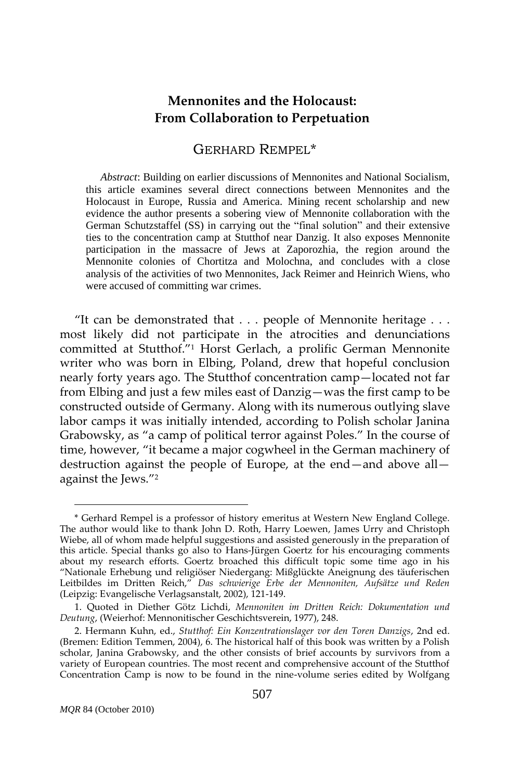# **Mennonites and the Holocaust: From Collaboration to Perpetuation**

## GERHARD REMPEL\*

*Abstract*: Building on earlier discussions of Mennonites and National Socialism, this article examines several direct connections between Mennonites and the Holocaust in Europe, Russia and America. Mining recent scholarship and new evidence the author presents a sobering view of Mennonite collaboration with the German Schutzstaffel (SS) in carrying out the "final solution" and their extensive ties to the concentration camp at Stutthof near Danzig. It also exposes Mennonite participation in the massacre of Jews at Zaporozhia, the region around the Mennonite colonies of Chortitza and Molochna, and concludes with a close analysis of the activities of two Mennonites, Jack Reimer and Heinrich Wiens, who were accused of committing war crimes.

'It can be demonstrated that . . . people of Mennonite heritage . . . most likely did not participate in the atrocities and denunciations committed at Stutthof.'<sup>1</sup> Horst Gerlach, a prolific German Mennonite writer who was born in Elbing, Poland, drew that hopeful conclusion nearly forty years ago. The Stutthof concentration camp—located not far from Elbing and just a few miles east of Danzig—was the first camp to be constructed outside of Germany. Along with its numerous outlying slave labor camps it was initially intended, according to Polish scholar Janina Grabowsky, as 'a camp of political terror against Poles.' In the course of time, however, 'it became a major cogwheel in the German machinery of destruction against the people of Europe, at the end—and above all against the Jews."<sup>2</sup>

<sup>\*</sup> Gerhard Rempel is a professor of history emeritus at Western New England College. The author would like to thank John D. Roth, Harry Loewen, James Urry and Christoph Wiebe, all of whom made helpful suggestions and assisted generously in the preparation of this article. Special thanks go also to Hans-Jürgen Goertz for his encouraging comments about my research efforts. Goertz broached this difficult topic some time ago in his 'Nationale Erhebung und religiöser Niedergang: Mißglückte Aneignung des täuferischen Leitbildes im Dritten Reich,' *Das schwierige Erbe der Mennoniten, Aufsätze und Reden* (Leipzig: Evangelische Verlagsanstalt, 2002), 121-149.

<sup>1.</sup> Quoted in Diether Götz Lichdi, *Mennoniten im Dritten Reich: Dokumentation und Deutung*, (Weierhof: Mennonitischer Geschichtsverein, 1977), 248.

<sup>2.</sup> Hermann Kuhn, ed., *Stutthof: Ein Konzentrationslager vor den Toren Danzigs*, 2nd ed. (Bremen: Edition Temmen, 2004), 6. The historical half of this book was written by a Polish scholar, Janina Grabowsky, and the other consists of brief accounts by survivors from a variety of European countries. The most recent and comprehensive account of the Stutthof Concentration Camp is now to be found in the nine-volume series edited by Wolfgang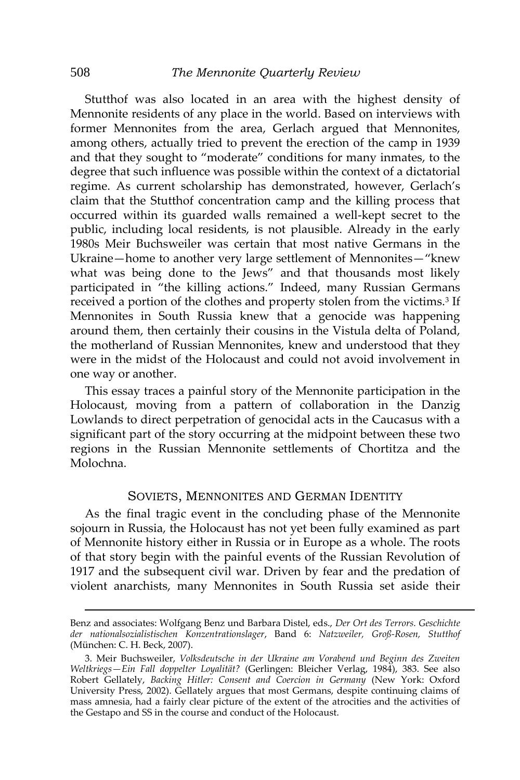Stutthof was also located in an area with the highest density of Mennonite residents of any place in the world. Based on interviews with former Mennonites from the area, Gerlach argued that Mennonites, among others, actually tried to prevent the erection of the camp in 1939 and that they sought to 'moderate' conditions for many inmates, to the degree that such influence was possible within the context of a dictatorial regime. As current scholarship has demonstrated, however, Gerlach's claim that the Stutthof concentration camp and the killing process that occurred within its guarded walls remained a well-kept secret to the public, including local residents, is not plausible. Already in the early 1980s Meir Buchsweiler was certain that most native Germans in the Ukraine—home to another very large settlement of Mennonites—'knew what was being done to the Jews' and that thousands most likely participated in "the killing actions." Indeed, many Russian Germans received a portion of the clothes and property stolen from the victims.<sup>3</sup> If Mennonites in South Russia knew that a genocide was happening around them, then certainly their cousins in the Vistula delta of Poland, the motherland of Russian Mennonites, knew and understood that they were in the midst of the Holocaust and could not avoid involvement in one way or another.

This essay traces a painful story of the Mennonite participation in the Holocaust, moving from a pattern of collaboration in the Danzig Lowlands to direct perpetration of genocidal acts in the Caucasus with a significant part of the story occurring at the midpoint between these two regions in the Russian Mennonite settlements of Chortitza and the Molochna.

#### SOVIETS, MENNONITES AND GERMAN IDENTITY

As the final tragic event in the concluding phase of the Mennonite sojourn in Russia, the Holocaust has not yet been fully examined as part of Mennonite history either in Russia or in Europe as a whole. The roots of that story begin with the painful events of the Russian Revolution of 1917 and the subsequent civil war. Driven by fear and the predation of violent anarchists, many Mennonites in South Russia set aside their

Benz and associates: Wolfgang Benz und Barbara Distel, eds., *Der Ort des Terrors. Geschichte der nationalsozialistischen Konzentrationslager*, Band 6: *Natzweiler, Groß-Rosen, Stutthof* (München: C. H. Beck, 2007).

<sup>3.</sup> Meir Buchsweiler, *Volksdeutsche in der Ukraine am Vorabend und Beginn des Zweiten Weltkriegs—Ein Fall doppelter Loyalität?* (Gerlingen: Bleicher Verlag, 1984), 383. See also Robert Gellately, *Backing Hitler: Consent and Coercion in Germany* (New York: Oxford University Press, 2002). Gellately argues that most Germans, despite continuing claims of mass amnesia, had a fairly clear picture of the extent of the atrocities and the activities of the Gestapo and SS in the course and conduct of the Holocaust.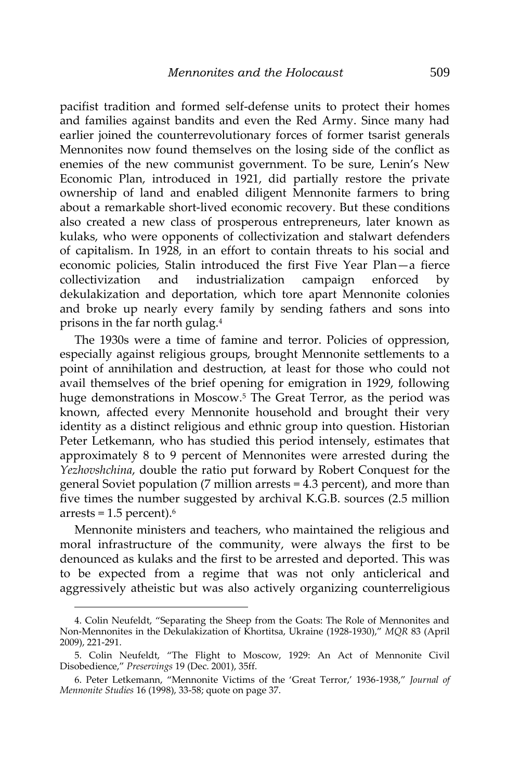pacifist tradition and formed self-defense units to protect their homes and families against bandits and even the Red Army. Since many had earlier joined the counterrevolutionary forces of former tsarist generals Mennonites now found themselves on the losing side of the conflict as enemies of the new communist government. To be sure, Lenin's New Economic Plan, introduced in 1921, did partially restore the private ownership of land and enabled diligent Mennonite farmers to bring about a remarkable short-lived economic recovery. But these conditions also created a new class of prosperous entrepreneurs, later known as kulaks, who were opponents of collectivization and stalwart defenders of capitalism. In 1928, in an effort to contain threats to his social and economic policies, Stalin introduced the first Five Year Plan—a fierce collectivization and industrialization campaign enforced by dekulakization and deportation, which tore apart Mennonite colonies and broke up nearly every family by sending fathers and sons into prisons in the far north gulag.<sup>4</sup>

The 1930s were a time of famine and terror. Policies of oppression, especially against religious groups, brought Mennonite settlements to a point of annihilation and destruction, at least for those who could not avail themselves of the brief opening for emigration in 1929, following huge demonstrations in Moscow.<sup>5</sup> The Great Terror, as the period was known, affected every Mennonite household and brought their very identity as a distinct religious and ethnic group into question. Historian Peter Letkemann, who has studied this period intensely, estimates that approximately 8 to 9 percent of Mennonites were arrested during the *Yezhovshchina*, double the ratio put forward by Robert Conquest for the general Soviet population (7 million arrests = 4.3 percent), and more than five times the number suggested by archival K.G.B. sources (2.5 million  $arrests = 1.5$  percent). $6$ 

Mennonite ministers and teachers, who maintained the religious and moral infrastructure of the community, were always the first to be denounced as kulaks and the first to be arrested and deported. This was to be expected from a regime that was not only anticlerical and aggressively atheistic but was also actively organizing counterreligious

<sup>4</sup>. Colin Neufeldt, 'Separating the Sheep from the Goats: The Role of Mennonites and Non-Mennonites in the Dekulakization of Khortitsa, Ukraine (1928-1930),' *MQR* 83 (April 2009), 221-291.

<sup>5</sup>. Colin Neufeldt, 'The Flight to Moscow, 1929: An Act of Mennonite Civil Disobedience,' *Preservings* 19 (Dec. 2001), 35ff.

<sup>6</sup>. Peter Letkemann, 'Mennonite Victims of the 'Great Terror,' 1936-1938,' *Journal of Mennonite Studies* 16 (1998), 33-58; quote on page 37.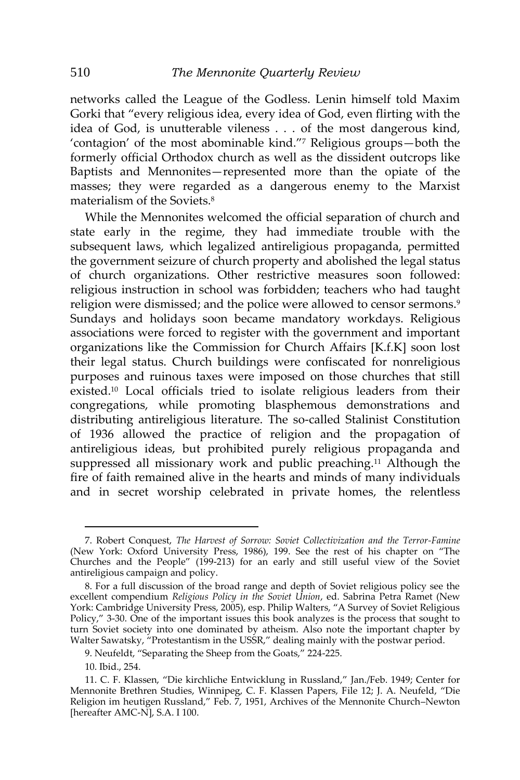networks called the League of the Godless. Lenin himself told Maxim Gorki that 'every religious idea, every idea of God, even flirting with the idea of God, is unutterable vileness . . . of the most dangerous kind, 'contagion' of the most abominable kind.'<sup>7</sup> Religious groups—both the formerly official Orthodox church as well as the dissident outcrops like Baptists and Mennonites—represented more than the opiate of the masses; they were regarded as a dangerous enemy to the Marxist materialism of the Soviets.<sup>8</sup>

While the Mennonites welcomed the official separation of church and state early in the regime, they had immediate trouble with the subsequent laws, which legalized antireligious propaganda, permitted the government seizure of church property and abolished the legal status of church organizations. Other restrictive measures soon followed: religious instruction in school was forbidden; teachers who had taught religion were dismissed; and the police were allowed to censor sermons.<sup>9</sup> Sundays and holidays soon became mandatory workdays. Religious associations were forced to register with the government and important organizations like the Commission for Church Affairs [K.f.K] soon lost their legal status. Church buildings were confiscated for nonreligious purposes and ruinous taxes were imposed on those churches that still existed.<sup>10</sup> Local officials tried to isolate religious leaders from their congregations, while promoting blasphemous demonstrations and distributing antireligious literature. The so-called Stalinist Constitution of 1936 allowed the practice of religion and the propagation of antireligious ideas, but prohibited purely religious propaganda and suppressed all missionary work and public preaching.<sup>11</sup> Although the fire of faith remained alive in the hearts and minds of many individuals and in secret worship celebrated in private homes, the relentless

<sup>7.</sup> Robert Conquest, *The Harvest of Sorrow: Soviet Collectivization and the Terror-Famine* (New York: Oxford University Press, 1986), 199. See the rest of his chapter on 'The Churches and the People' (199-213) for an early and still useful view of the Soviet antireligious campaign and policy.

<sup>8.</sup> For a full discussion of the broad range and depth of Soviet religious policy see the excellent compendium *Religious Policy in the Soviet Union*, ed. Sabrina Petra Ramet (New York: Cambridge University Press, 2005), esp. Philip Walters, 'A Survey of Soviet Religious Policy,' 3-30. One of the important issues this book analyzes is the process that sought to turn Soviet society into one dominated by atheism. Also note the important chapter by Walter Sawatsky, 'Protestantism in the USSR,' dealing mainly with the postwar period.

<sup>9</sup>. Neufeldt, 'Separating the Sheep from the Goats,' 224-225.

<sup>10.</sup> Ibid., 254.

<sup>11</sup>. C. F. Klassen, 'Die kirchliche Entwicklung in Russland,' Jan./Feb. 1949; Center for Mennonite Brethren Studies, Winnipeg, C. F. Klassen Papers, File 12; J. A. Neufeld, 'Die Religion im heutigen Russland,' Feb. 7, 1951, Archives of the Mennonite Church–Newton [hereafter AMC-N], S.A. I 100.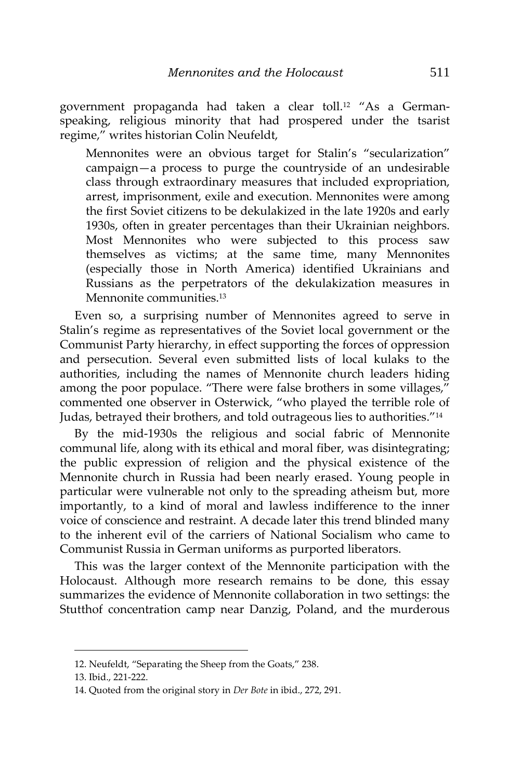government propaganda had taken a clear toll.<sup>12</sup> 'As a Germanspeaking, religious minority that had prospered under the tsarist regime," writes historian Colin Neufeldt,

Mennonites were an obvious target for Stalin's "secularization" campaign—a process to purge the countryside of an undesirable class through extraordinary measures that included expropriation, arrest, imprisonment, exile and execution. Mennonites were among the first Soviet citizens to be dekulakized in the late 1920s and early 1930s, often in greater percentages than their Ukrainian neighbors. Most Mennonites who were subjected to this process saw themselves as victims; at the same time, many Mennonites (especially those in North America) identified Ukrainians and Russians as the perpetrators of the dekulakization measures in Mennonite communities.<sup>13</sup>

Even so, a surprising number of Mennonites agreed to serve in Stalin's regime as representatives of the Soviet local government or the Communist Party hierarchy, in effect supporting the forces of oppression and persecution. Several even submitted lists of local kulaks to the authorities, including the names of Mennonite church leaders hiding among the poor populace. "There were false brothers in some villages," commented one observer in Osterwick, 'who played the terrible role of Judas, betrayed their brothers, and told outrageous lies to authorities."<sup>14</sup>

By the mid-1930s the religious and social fabric of Mennonite communal life, along with its ethical and moral fiber, was disintegrating; the public expression of religion and the physical existence of the Mennonite church in Russia had been nearly erased. Young people in particular were vulnerable not only to the spreading atheism but, more importantly, to a kind of moral and lawless indifference to the inner voice of conscience and restraint. A decade later this trend blinded many to the inherent evil of the carriers of National Socialism who came to Communist Russia in German uniforms as purported liberators.

This was the larger context of the Mennonite participation with the Holocaust. Although more research remains to be done, this essay summarizes the evidence of Mennonite collaboration in two settings: the Stutthof concentration camp near Danzig, Poland, and the murderous

<sup>12</sup>. Neufeldt, 'Separating the Sheep from the Goats,' 238.

<sup>13.</sup> Ibid., 221-222.

<sup>14.</sup> Quoted from the original story in *Der Bote* in ibid., 272, 291.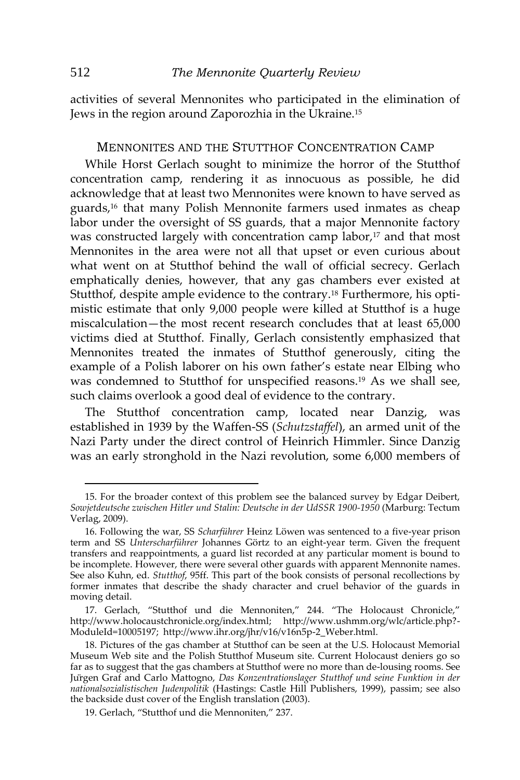activities of several Mennonites who participated in the elimination of Jews in the region around Zaporozhia in the Ukraine.<sup>15</sup>

### MENNONITES AND THE STUTTHOF CONCENTRATION CAMP

While Horst Gerlach sought to minimize the horror of the Stutthof concentration camp, rendering it as innocuous as possible, he did acknowledge that at least two Mennonites were known to have served as guards,<sup>16</sup> that many Polish Mennonite farmers used inmates as cheap labor under the oversight of SS guards, that a major Mennonite factory was constructed largely with concentration camp labor,<sup>17</sup> and that most Mennonites in the area were not all that upset or even curious about what went on at Stutthof behind the wall of official secrecy. Gerlach emphatically denies, however, that any gas chambers ever existed at Stutthof, despite ample evidence to the contrary.<sup>18</sup> Furthermore, his optimistic estimate that only 9,000 people were killed at Stutthof is a huge miscalculation—the most recent research concludes that at least 65,000 victims died at Stutthof. Finally, Gerlach consistently emphasized that Mennonites treated the inmates of Stutthof generously, citing the example of a Polish laborer on his own father's estate near Elbing who was condemned to Stutthof for unspecified reasons.<sup>19</sup> As we shall see, such claims overlook a good deal of evidence to the contrary.

The Stutthof concentration camp, located near Danzig, was established in 1939 by the Waffen-SS (*Schutzstaffel*), an armed unit of the Nazi Party under the direct control of Heinrich Himmler. Since Danzig was an early stronghold in the Nazi revolution, some 6,000 members of

<sup>15.</sup> For the broader context of this problem see the balanced survey by Edgar Deibert, *Sowjetdeutsche zwischen Hitler und Stalin: Deutsche in der UdSSR 1900-1950* (Marburg: Tectum Verlag, 2009).

<sup>16.</sup> Following the war, SS *Scharführer* Heinz Löwen was sentenced to a five-year prison term and SS *Unterscharführer* Johannes Görtz to an eight-year term. Given the frequent transfers and reappointments, a guard list recorded at any particular moment is bound to be incomplete. However, there were several other guards with apparent Mennonite names. See also Kuhn, ed. *Stutthof*, 95ff. This part of the book consists of personal recollections by former inmates that describe the shady character and cruel behavior of the guards in moving detail.

<sup>17.</sup> Gerlach, "Stutthof und die Mennoniten," 244. "The Holocaust Chronicle," http://www.holocaustchronicle.org/index.html; http://www.ushmm.org/wlc/article.php?- ModuleId=10005197; http://www.ihr.org/jhr/v16/v16n5p-2\_Weber.html.

<sup>18.</sup> Pictures of the gas chamber at Stutthof can be seen at the U.S. Holocaust Memorial Museum Web site and the Polish Stutthof Museum site. Current Holocaust deniers go so far as to suggest that the gas chambers at Stutthof were no more than de-lousing rooms. See Jurgen Graf and Carlo Mattogno, *Das Konzentrationslager Stutthof und seine Funktion in der nationalsozialistischen Judenpolitik* (Hastings: Castle Hill Publishers, 1999), passim; see also the backside dust cover of the English translation (2003).

<sup>19.</sup> Gerlach, 'Stutthof und die Mennoniten,' 237.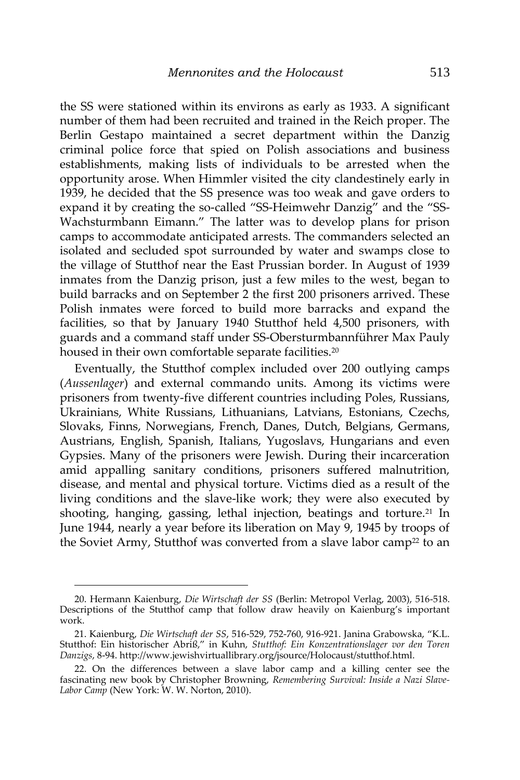the SS were stationed within its environs as early as 1933. A significant number of them had been recruited and trained in the Reich proper. The Berlin Gestapo maintained a secret department within the Danzig criminal police force that spied on Polish associations and business establishments, making lists of individuals to be arrested when the opportunity arose. When Himmler visited the city clandestinely early in 1939, he decided that the SS presence was too weak and gave orders to expand it by creating the so-called "SS-Heimwehr Danzig" and the "SS-Wachsturmbann Eimann.' The latter was to develop plans for prison camps to accommodate anticipated arrests. The commanders selected an isolated and secluded spot surrounded by water and swamps close to the village of Stutthof near the East Prussian border. In August of 1939 inmates from the Danzig prison, just a few miles to the west, began to build barracks and on September 2 the first 200 prisoners arrived. These Polish inmates were forced to build more barracks and expand the facilities, so that by January 1940 Stutthof held 4,500 prisoners, with guards and a command staff under SS-Obersturmbannführer Max Pauly housed in their own comfortable separate facilities.<sup>20</sup>

Eventually, the Stutthof complex included over 200 outlying camps (*Aussenlager*) and external commando units. Among its victims were prisoners from twenty-five different countries including Poles, Russians, Ukrainians, White Russians, Lithuanians, Latvians, Estonians, Czechs, Slovaks, Finns, Norwegians, French, Danes, Dutch, Belgians, Germans, Austrians, English, Spanish, Italians, Yugoslavs, Hungarians and even Gypsies. Many of the prisoners were Jewish. During their incarceration amid appalling sanitary conditions, prisoners suffered malnutrition, disease, and mental and physical torture. Victims died as a result of the living conditions and the slave-like work; they were also executed by shooting, hanging, gassing, lethal injection, beatings and torture.<sup>21</sup> In June 1944, nearly a year before its liberation on May 9, 1945 by troops of the Soviet Army, Stutthof was converted from a slave labor camp<sup>22</sup> to an

<sup>20.</sup> Hermann Kaienburg, *Die Wirtschaft der SS* (Berlin: Metropol Verlag, 2003), 516-518. Descriptions of the Stutthof camp that follow draw heavily on Kaienburg's important work.

<sup>21.</sup> Kaienburg, *Die Wirtschaft der SS*, 516-529, 752-760, 916-921. Janina Grabowska, 'K.L. Stutthof: Ein historischer Abriß,' in Kuhn, *Stutthof: Ein Konzentrationslager vor den Toren Danzigs*, 8-94. http://www.jewishvirtuallibrary.org/jsource/Holocaust/stutthof.html.

<sup>22.</sup> On the differences between a slave labor camp and a killing center see the fascinating new book by Christopher Browning, *Remembering Survival: Inside a Nazi Slave-Labor Camp* (New York: W. W. Norton, 2010).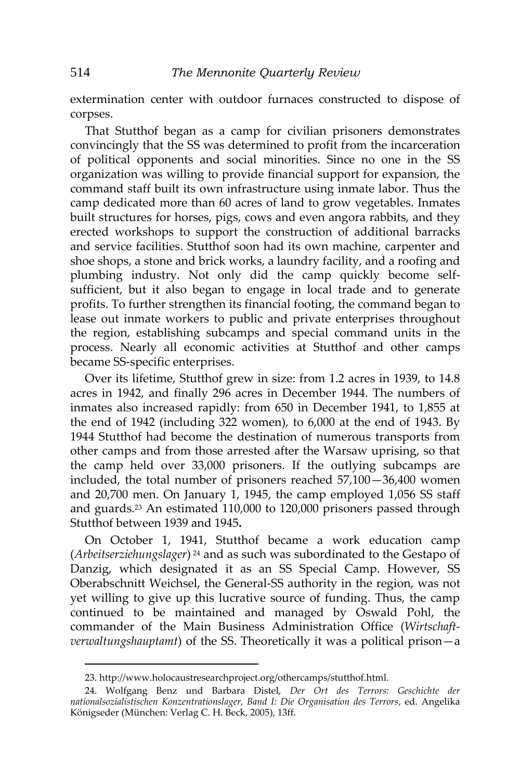extermination center with outdoor furnaces constructed to dispose of corpses.

That Stutthof began as a camp for civilian prisoners demonstrates convincingly that the SS was determined to profit from the incarceration of political opponents and social minorities. Since no one in the SS organization was willing to provide financial support for expansion, the command staff built its own infrastructure using inmate labor. Thus the camp dedicated more than 60 acres of land to grow vegetables. Inmates built structures for horses, pigs, cows and even angora rabbits, and they erected workshops to support the construction of additional barracks and service facilities. Stutthof soon had its own machine, carpenter and shoe shops, a stone and brick works, a laundry facility, and a roofing and plumbing industry. Not only did the camp quickly become selfsufficient, but it also began to engage in local trade and to generate profits. To further strengthen its financial footing, the command began to lease out inmate workers to public and private enterprises throughout the region, establishing subcamps and special command units in the process. Nearly all economic activities at Stutthof and other camps became SS-specific enterprises.

Over its lifetime, Stutthof grew in size: from 1.2 acres in 1939, to 14.8 acres in 1942, and finally 296 acres in December 1944. The numbers of inmates also increased rapidly: from 650 in December 1941, to 1,855 at the end of 1942 (including 322 women), to 6,000 at the end of 1943. By 1944 Stutthof had become the destination of numerous transports from other camps and from those arrested after the Warsaw uprising, so that the camp held over 33,000 prisoners. If the outlying subcamps are included, the total number of prisoners reached 57,100—36,400 women and 20,700 men. On January 1, 1945, the camp employed 1,056 SS staff and guards.<sup>23</sup> An estimated 110,000 to 120,000 prisoners passed through Stutthof between 1939 and 1945**.**

On October 1, 1941, Stutthof became a work education camp (*Arbeitserziehungslager*) <sup>24</sup> and as such was subordinated to the Gestapo of Danzig, which designated it as an SS Special Camp. However, SS Oberabschnitt Weichsel, the General-SS authority in the region, was not yet willing to give up this lucrative source of funding. Thus, the camp continued to be maintained and managed by Oswald Pohl, the commander of the Main Business Administration Office (*Wirtschaftverwaltungshauptamt*) of the SS. Theoretically it was a political prison—a

<sup>23.</sup> http://www.holocaustresearchproject.org/othercamps/stutthof.html.

<sup>24.</sup> Wolfgang Benz und Barbara Distel, *Der Ort des Terrors: Geschichte der nationalsozialistischen Konzentrationslager, Band I: Die Organisation des Terrors*, ed. Angelika Königseder (München: Verlag C. H. Beck, 2005), 13ff.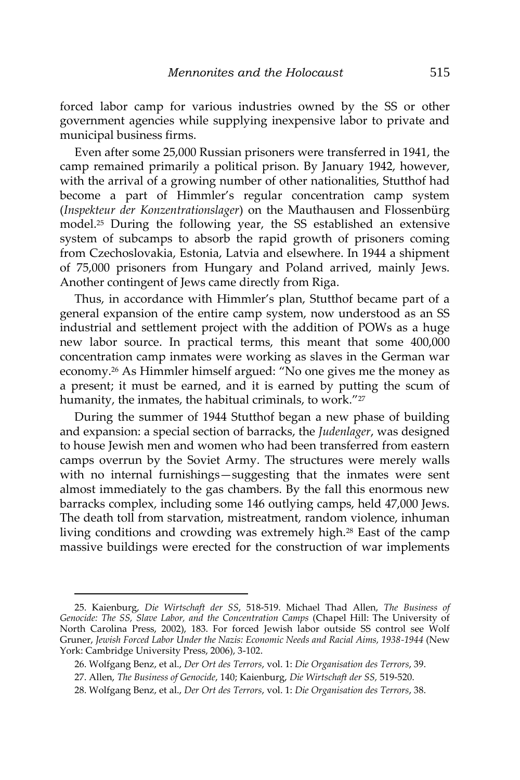forced labor camp for various industries owned by the SS or other government agencies while supplying inexpensive labor to private and municipal business firms.

Even after some 25,000 Russian prisoners were transferred in 1941, the camp remained primarily a political prison. By January 1942, however, with the arrival of a growing number of other nationalities, Stutthof had become a part of Himmler's regular concentration camp system (*Inspekteur der Konzentrationslager*) on the Mauthausen and Flossenbürg model.<sup>25</sup> During the following year, the SS established an extensive system of subcamps to absorb the rapid growth of prisoners coming from Czechoslovakia, Estonia, Latvia and elsewhere. In 1944 a shipment of 75,000 prisoners from Hungary and Poland arrived, mainly Jews. Another contingent of Jews came directly from Riga.

Thus, in accordance with Himmler's plan, Stutthof became part of a general expansion of the entire camp system, now understood as an SS industrial and settlement project with the addition of POWs as a huge new labor source. In practical terms, this meant that some 400,000 concentration camp inmates were working as slaves in the German war economy.<sup>26</sup> As Himmler himself argued: 'No one gives me the money as a present; it must be earned, and it is earned by putting the scum of humanity, the inmates, the habitual criminals, to work."<sup>27</sup>

During the summer of 1944 Stutthof began a new phase of building and expansion: a special section of barracks, the *Judenlager*, was designed to house Jewish men and women who had been transferred from eastern camps overrun by the Soviet Army. The structures were merely walls with no internal furnishings—suggesting that the inmates were sent almost immediately to the gas chambers. By the fall this enormous new barracks complex, including some 146 outlying camps, held 47,000 Jews. The death toll from starvation, mistreatment, random violence, inhuman living conditions and crowding was extremely high.<sup>28</sup> East of the camp massive buildings were erected for the construction of war implements

<sup>25.</sup> Kaienburg, *Die Wirtschaft der SS*, 518-519. Michael Thad Allen, *The Business of Genocide: The SS, Slave Labor, and the Concentration Camps* (Chapel Hill: The University of North Carolina Press, 2002), 183. For forced Jewish labor outside SS control see Wolf Gruner, *Jewish Forced Labor Under the Nazis: Economic Needs and Racial Aims, 1938-1944* (New York: Cambridge University Press, 2006), 3-102.

<sup>26.</sup> Wolfgang Benz, et al., *Der Ort des Terrors*, vol. 1: *Die Organisation des Terrors*, 39.

<sup>27.</sup> Allen, *The Business of Genocide*, 140; Kaienburg, *Die Wirtschaft der SS,* 519-520.

<sup>28.</sup> Wolfgang Benz, et al., *Der Ort des Terrors*, vol. 1: *Die Organisation des Terrors*, 38.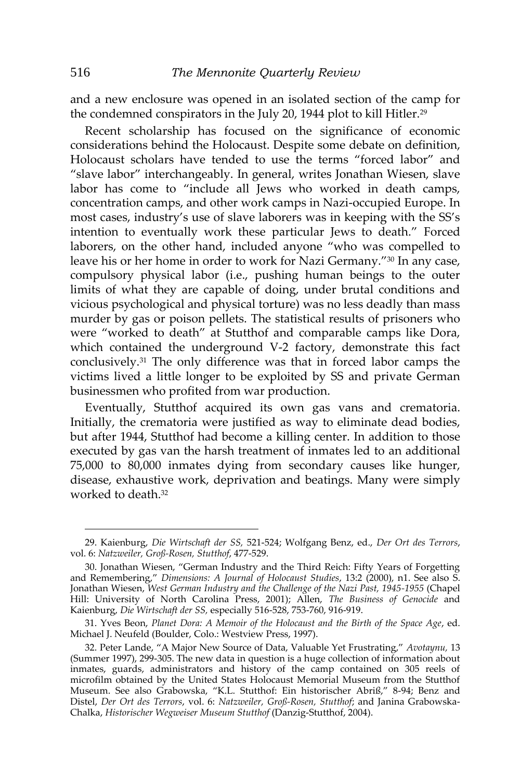and a new enclosure was opened in an isolated section of the camp for the condemned conspirators in the July 20, 1944 plot to kill Hitler.<sup>29</sup>

Recent scholarship has focused on the significance of economic considerations behind the Holocaust. Despite some debate on definition, Holocaust scholars have tended to use the terms 'forced labor' and 'slave labor' interchangeably. In general, writes Jonathan Wiesen, slave labor has come to 'include all Jews who worked in death camps, concentration camps, and other work camps in Nazi-occupied Europe. In most cases, industry's use of slave laborers was in keeping with the SS's intention to eventually work these particular Jews to death.' Forced laborers, on the other hand, included anyone 'who was compelled to leave his or her home in order to work for Nazi Germany.'<sup>30</sup> In any case, compulsory physical labor (i.e., pushing human beings to the outer limits of what they are capable of doing, under brutal conditions and vicious psychological and physical torture) was no less deadly than mass murder by gas or poison pellets. The statistical results of prisoners who were 'worked to death' at Stutthof and comparable camps like Dora, which contained the underground V-2 factory, demonstrate this fact conclusively.<sup>31</sup> The only difference was that in forced labor camps the victims lived a little longer to be exploited by SS and private German businessmen who profited from war production.

Eventually, Stutthof acquired its own gas vans and crematoria. Initially, the crematoria were justified as way to eliminate dead bodies, but after 1944, Stutthof had become a killing center. In addition to those executed by gas van the harsh treatment of inmates led to an additional 75,000 to 80,000 inmates dying from secondary causes like hunger, disease, exhaustive work, deprivation and beatings. Many were simply worked to death.<sup>32</sup>

<sup>29.</sup> Kaienburg, *Die Wirtschaft der SS,* 521-524; Wolfgang Benz, ed., *Der Ort des Terrors*, vol. 6: *Natzweiler, Groß-Rosen, Stutthof*, 477-529.

<sup>30</sup>. Jonathan Wiesen, 'German Industry and the Third Reich: Fifty Years of Forgetting and Remembering,' *Dimensions: A Journal of Holocaust Studies*, 13:2 (2000), n1. See also S. Jonathan Wiesen, *West German Industry and the Challenge of the Nazi Past, 1945-1955* (Chapel Hill: University of North Carolina Press, 2001); Allen, *The Business of Genocide* and Kaienburg, *Die Wirtschaft der SS,* especially 516-528, 753-760, 916-919.

<sup>31.</sup> Yves Beon, *Planet Dora: A Memoir of the Holocaust and the Birth of the Space Age*, ed. Michael J. Neufeld (Boulder, Colo.: Westview Press, 1997).

<sup>32.</sup> Peter Lande, 'A Major New Source of Data, Valuable Yet Frustrating,' *Avotaynu,* 13 (Summer 1997), 299-305. The new data in question is a huge collection of information about inmates, guards, administrators and history of the camp contained on 305 reels of microfilm obtained by the United States Holocaust Memorial Museum from the Stutthof Museum. See also Grabowska, 'K.L. Stutthof: Ein historischer Abriß,' 8-94; Benz and Distel, *Der Ort des Terrors*, vol. 6: *Natzweiler, Groß-Rosen, Stutthof*; and Janina Grabowska-Chalka, *Historischer Wegweiser Museum Stutthof* (Danzig-Stutthof, 2004).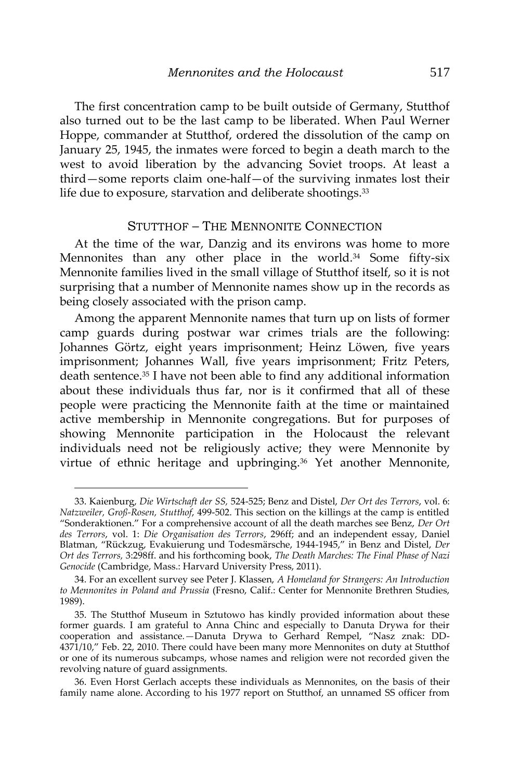The first concentration camp to be built outside of Germany, Stutthof also turned out to be the last camp to be liberated. When Paul Werner Hoppe, commander at Stutthof, ordered the dissolution of the camp on January 25, 1945, the inmates were forced to begin a death march to the west to avoid liberation by the advancing Soviet troops. At least a third—some reports claim one-half—of the surviving inmates lost their life due to exposure, starvation and deliberate shootings.<sup>33</sup>

### STUTTHOF – THE MENNONITE CONNECTION

At the time of the war, Danzig and its environs was home to more Mennonites than any other place in the world.<sup>34</sup> Some fifty-six Mennonite families lived in the small village of Stutthof itself, so it is not surprising that a number of Mennonite names show up in the records as being closely associated with the prison camp.

Among the apparent Mennonite names that turn up on lists of former camp guards during postwar war crimes trials are the following: Johannes Görtz, eight years imprisonment; Heinz Löwen, five years imprisonment; Johannes Wall, five years imprisonment; Fritz Peters, death sentence.<sup>35</sup> I have not been able to find any additional information about these individuals thus far, nor is it confirmed that all of these people were practicing the Mennonite faith at the time or maintained active membership in Mennonite congregations. But for purposes of showing Mennonite participation in the Holocaust the relevant individuals need not be religiously active; they were Mennonite by virtue of ethnic heritage and upbringing.<sup>36</sup> Yet another Mennonite,

<sup>33.</sup> Kaienburg, *Die Wirtschaft der SS,* 524-525; Benz and Distel, *Der Ort des Terrors*, vol. 6: *Natzweiler, Groß-Rosen, Stutthof*, 499-502. This section on the killings at the camp is entitled 'Sonderaktionen.' For a comprehensive account of all the death marches see Benz, *Der Ort des Terrors*, vol. 1: *Die Organisation des Terrors*, 296ff; and an independent essay, Daniel Blatman, 'Rückzug, Evakuierung und Todesmärsche, 1944-1945,' in Benz and Distel, *Der Ort des Terrors,* 3:298ff. and his forthcoming book, *The Death Marches: The Final Phase of Nazi Genocide* (Cambridge, Mass.: Harvard University Press, 2011).

<sup>34.</sup> For an excellent survey see Peter J. Klassen, *A Homeland for Strangers: An Introduction to Mennonites in Poland and Prussia* (Fresno, Calif.: Center for Mennonite Brethren Studies, 1989).

<sup>35.</sup> The Stutthof Museum in Sztutowo has kindly provided information about these former guards. I am grateful to Anna Chinc and especially to Danuta Drywa for their cooperation and assistance*.—*Danuta Drywa to Gerhard Rempel, 'Nasz znak: DD-4371/10,' Feb. 22, 2010. There could have been many more Mennonites on duty at Stutthof or one of its numerous subcamps, whose names and religion were not recorded given the revolving nature of guard assignments.

<sup>36.</sup> Even Horst Gerlach accepts these individuals as Mennonites, on the basis of their family name alone. According to his 1977 report on Stutthof, an unnamed SS officer from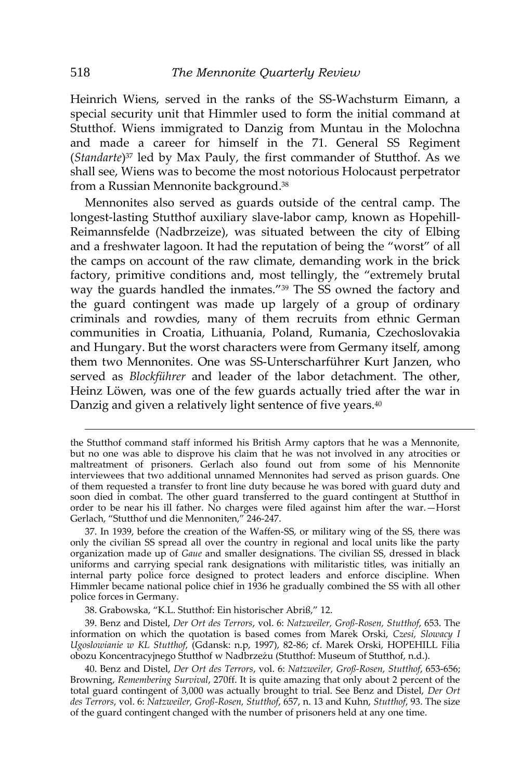Heinrich Wiens, served in the ranks of the SS-Wachsturm Eimann, a special security unit that Himmler used to form the initial command at Stutthof. Wiens immigrated to Danzig from Muntau in the Molochna and made a career for himself in the 71. General SS Regiment (*Standarte*) <sup>37</sup> led by Max Pauly, the first commander of Stutthof. As we shall see, Wiens was to become the most notorious Holocaust perpetrator from a Russian Mennonite background.<sup>38</sup>

Mennonites also served as guards outside of the central camp. The longest-lasting Stutthof auxiliary slave-labor camp, known as Hopehill-Reimannsfelde (Nadbrzeize), was situated between the city of Elbing and a freshwater lagoon. It had the reputation of being the 'worst' of all the camps on account of the raw climate, demanding work in the brick factory, primitive conditions and, most tellingly, the 'extremely brutal way the guards handled the inmates."39 The SS owned the factory and the guard contingent was made up largely of a group of ordinary criminals and rowdies, many of them recruits from ethnic German communities in Croatia, Lithuania, Poland, Rumania, Czechoslovakia and Hungary. But the worst characters were from Germany itself, among them two Mennonites. One was SS-Unterscharführer Kurt Janzen, who served as *Blockführer* and leader of the labor detachment. The other, Heinz Löwen, was one of the few guards actually tried after the war in Danzig and given a relatively light sentence of five years.<sup>40</sup>

the Stutthof command staff informed his British Army captors that he was a Mennonite, but no one was able to disprove his claim that he was not involved in any atrocities or maltreatment of prisoners. Gerlach also found out from some of his Mennonite interviewees that two additional unnamed Mennonites had served as prison guards. One of them requested a transfer to front line duty because he was bored with guard duty and soon died in combat. The other guard transferred to the guard contingent at Stutthof in order to be near his ill father. No charges were filed against him after the war.—Horst Gerlach, 'Stutthof und die Mennoniten,' 246-247.

<sup>37.</sup> In 1939, before the creation of the Waffen-SS, or military wing of the SS, there was only the civilian SS spread all over the country in regional and local units like the party organization made up of *Gaue* and smaller designations. The civilian SS, dressed in black uniforms and carrying special rank designations with militaristic titles, was initially an internal party police force designed to protect leaders and enforce discipline. When Himmler became national police chief in 1936 he gradually combined the SS with all other police forces in Germany.

<sup>38.</sup> Grabowska, 'K.L. Stutthof: Ein historischer Abriß,' 12.

<sup>39.</sup> Benz and Distel, *Der Ort des Terrors*, vol. 6: *Natzweiler, Groß-Rosen, Stutthof*, 653. The information on which the quotation is based comes from Marek Orski, *Czesi, Slowacy I Ugoslowianie w KL Stutthof*, (Gdansk: n.p, 1997), 82-86; cf. Marek Orski, HOPEHILL Filia obozu Koncentracyjnego Stutthof w Nadbrzeżu (Stutthof: Museum of Stutthof, n.d.).

<sup>40.</sup> Benz and Distel, *Der Ort des Terrors*, vol. 6: *Natzweiler, Groß-Rosen, Stutthof*, 653-656; Browning, *Remembering Survival*, 270ff. It is quite amazing that only about 2 percent of the total guard contingent of 3,000 was actually brought to trial. See Benz and Distel, *Der Ort des Terrors*, vol. 6: *Natzweiler, Groß-Rosen, Stutthof*, 657, n. 13 and Kuhn, *Stutthof*, 93. The size of the guard contingent changed with the number of prisoners held at any one time.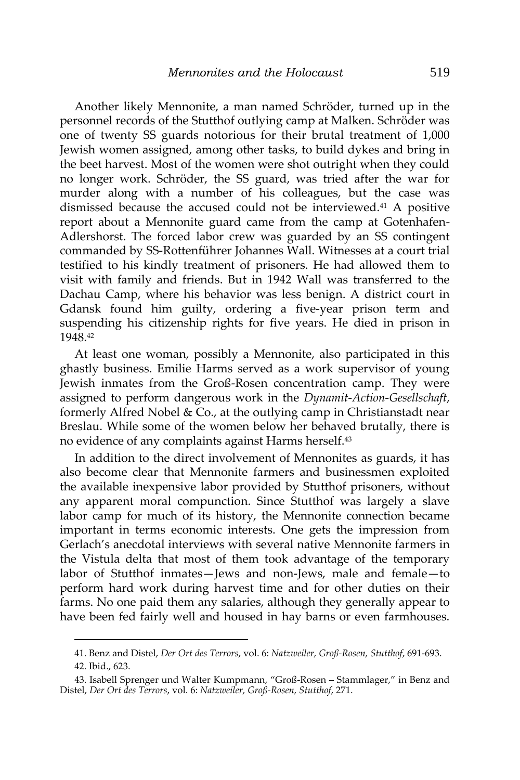Another likely Mennonite, a man named Schröder, turned up in the personnel records of the Stutthof outlying camp at Malken. Schröder was one of twenty SS guards notorious for their brutal treatment of 1,000 Jewish women assigned, among other tasks, to build dykes and bring in the beet harvest. Most of the women were shot outright when they could no longer work. Schröder, the SS guard, was tried after the war for murder along with a number of his colleagues, but the case was dismissed because the accused could not be interviewed.<sup>41</sup> A positive report about a Mennonite guard came from the camp at Gotenhafen-Adlershorst. The forced labor crew was guarded by an SS contingent commanded by SS-Rottenführer Johannes Wall. Witnesses at a court trial testified to his kindly treatment of prisoners. He had allowed them to visit with family and friends. But in 1942 Wall was transferred to the Dachau Camp, where his behavior was less benign. A district court in Gdansk found him guilty, ordering a five-year prison term and suspending his citizenship rights for five years. He died in prison in 1948.<sup>42</sup>

At least one woman, possibly a Mennonite, also participated in this ghastly business. Emilie Harms served as a work supervisor of young Jewish inmates from the Groß-Rosen concentration camp. They were assigned to perform dangerous work in the *Dynamit-Action-Gesellschaft*, formerly Alfred Nobel & Co., at the outlying camp in Christianstadt near Breslau. While some of the women below her behaved brutally, there is no evidence of any complaints against Harms herself.<sup>43</sup>

In addition to the direct involvement of Mennonites as guards, it has also become clear that Mennonite farmers and businessmen exploited the available inexpensive labor provided by Stutthof prisoners, without any apparent moral compunction. Since Stutthof was largely a slave labor camp for much of its history, the Mennonite connection became important in terms economic interests. One gets the impression from Gerlach's anecdotal interviews with several native Mennonite farmers in the Vistula delta that most of them took advantage of the temporary labor of Stutthof inmates—Jews and non-Jews, male and female—to perform hard work during harvest time and for other duties on their farms. No one paid them any salaries, although they generally appear to have been fed fairly well and housed in hay barns or even farmhouses.

<sup>41.</sup> Benz and Distel, *Der Ort des Terrors*, vol. 6: *Natzweiler, Groß-Rosen, Stutthof*, 691-693.

<sup>42.</sup> Ibid., 623.

<sup>43.</sup> Isabell Sprenger und Walter Kumpmann, 'Groß-Rosen – Stammlager,' in Benz and Distel, *Der Ort des Terrors*, vol. 6: *Natzweiler, Groß-Rosen, Stutthof*, 271.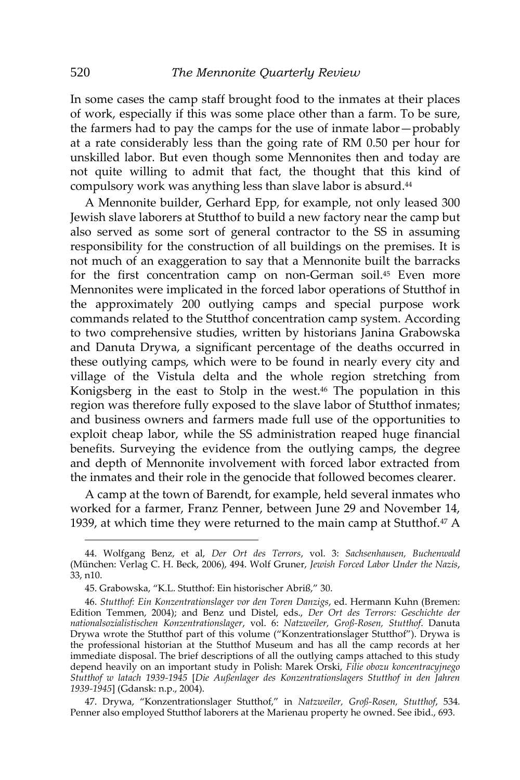In some cases the camp staff brought food to the inmates at their places of work, especially if this was some place other than a farm. To be sure, the farmers had to pay the camps for the use of inmate labor—probably at a rate considerably less than the going rate of RM 0.50 per hour for unskilled labor. But even though some Mennonites then and today are not quite willing to admit that fact, the thought that this kind of compulsory work was anything less than slave labor is absurd.<sup>44</sup>

A Mennonite builder, Gerhard Epp, for example, not only leased 300 Jewish slave laborers at Stutthof to build a new factory near the camp but also served as some sort of general contractor to the SS in assuming responsibility for the construction of all buildings on the premises. It is not much of an exaggeration to say that a Mennonite built the barracks for the first concentration camp on non-German soil.<sup>45</sup> Even more Mennonites were implicated in the forced labor operations of Stutthof in the approximately 200 outlying camps and special purpose work commands related to the Stutthof concentration camp system. According to two comprehensive studies, written by historians Janina Grabowska and Danuta Drywa, a significant percentage of the deaths occurred in these outlying camps, which were to be found in nearly every city and village of the Vistula delta and the whole region stretching from Konigsberg in the east to Stolp in the west.<sup>46</sup> The population in this region was therefore fully exposed to the slave labor of Stutthof inmates; and business owners and farmers made full use of the opportunities to exploit cheap labor, while the SS administration reaped huge financial benefits. Surveying the evidence from the outlying camps, the degree and depth of Mennonite involvement with forced labor extracted from the inmates and their role in the genocide that followed becomes clearer.

A camp at the town of Barendt, for example, held several inmates who worked for a farmer, Franz Penner, between June 29 and November 14, 1939, at which time they were returned to the main camp at Stutthof.<sup>47</sup> A

<sup>44.</sup> Wolfgang Benz, et al, *Der Ort des Terrors*, vol. 3: *Sachsenhausen, Buchenwald* (München: Verlag C. H. Beck, 2006), 494. Wolf Gruner, *Jewish Forced Labor Under the Nazis*, 33, n10.

<sup>45.</sup> Grabowska, 'K.L. Stutthof: Ein historischer Abriß,' 30.

<sup>46.</sup> *Stutthof: Ein Konzentrationslager vor den Toren Danzigs*, ed. Hermann Kuhn (Bremen: Edition Temmen, 2004); and Benz und Distel, eds., *Der Ort des Terrors: Geschichte der nationalsozialistischen Konzentrationslager*, vol. 6: *Natzweiler, Groß-Rosen, Stutthof*. Danuta Drywa wrote the Stutthof part of this volume ('Konzentrationslager Stutthof'). Drywa is the professional historian at the Stutthof Museum and has all the camp records at her immediate disposal. The brief descriptions of all the outlying camps attached to this study depend heavily on an important study in Polish: Marek Orski, *Filie obozu koncentracyjnego Stutthof w latach 1939-1945* [*Die Außenlager des Konzentrationslagers Stutthof in den Jahren 1939-1945*] (Gdansk: n.p., 2004).

<sup>47</sup>. Drywa, 'Konzentrationslager Stutthof,' in *Natzweiler, Groß-Rosen, Stutthof*, 534*.*  Penner also employed Stutthof laborers at the Marienau property he owned. See ibid., 693.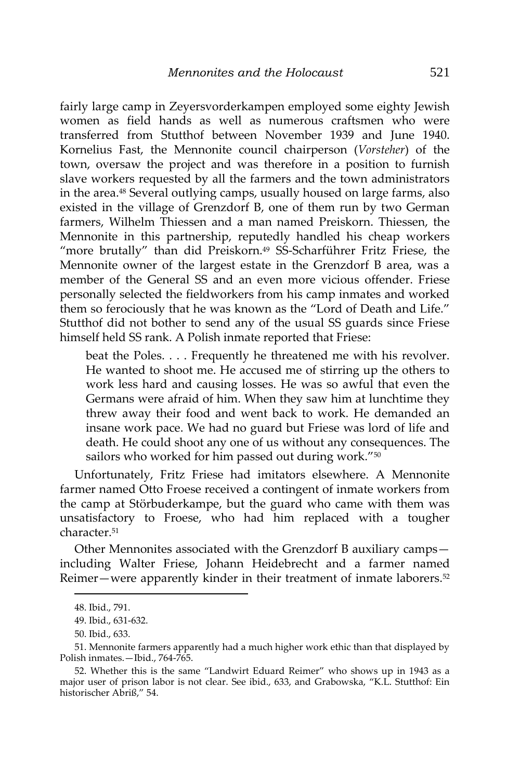fairly large camp in Zeyersvorderkampen employed some eighty Jewish women as field hands as well as numerous craftsmen who were transferred from Stutthof between November 1939 and June 1940. Kornelius Fast, the Mennonite council chairperson (*Vorsteher*) of the town, oversaw the project and was therefore in a position to furnish slave workers requested by all the farmers and the town administrators in the area.<sup>48</sup> Several outlying camps, usually housed on large farms, also existed in the village of Grenzdorf B, one of them run by two German farmers, Wilhelm Thiessen and a man named Preiskorn. Thiessen, the Mennonite in this partnership, reputedly handled his cheap workers "more brutally" than did Preiskorn.<sup>49</sup> SS-Scharführer Fritz Friese, the Mennonite owner of the largest estate in the Grenzdorf B area, was a member of the General SS and an even more vicious offender. Friese personally selected the fieldworkers from his camp inmates and worked them so ferociously that he was known as the 'Lord of Death and Life.' Stutthof did not bother to send any of the usual SS guards since Friese himself held SS rank. A Polish inmate reported that Friese:

beat the Poles. . . . Frequently he threatened me with his revolver. He wanted to shoot me. He accused me of stirring up the others to work less hard and causing losses. He was so awful that even the Germans were afraid of him. When they saw him at lunchtime they threw away their food and went back to work. He demanded an insane work pace. We had no guard but Friese was lord of life and death. He could shoot any one of us without any consequences. The sailors who worked for him passed out during work."<sup>50</sup>

Unfortunately, Fritz Friese had imitators elsewhere. A Mennonite farmer named Otto Froese received a contingent of inmate workers from the camp at Störbuderkampe, but the guard who came with them was unsatisfactory to Froese, who had him replaced with a tougher character.<sup>51</sup>

Other Mennonites associated with the Grenzdorf B auxiliary camps including Walter Friese, Johann Heidebrecht and a farmer named Reimer—were apparently kinder in their treatment of inmate laborers.<sup>52</sup>

<sup>48.</sup> Ibid., 791.

<sup>49.</sup> Ibid., 631-632.

<sup>50.</sup> Ibid., 633.

<sup>51.</sup> Mennonite farmers apparently had a much higher work ethic than that displayed by Polish inmates.—Ibid., 764-765.

<sup>52.</sup> Whether this is the same 'Landwirt Eduard Reimer' who shows up in 1943 as a major user of prison labor is not clear. See ibid., 633, and Grabowska, 'K.L. Stutthof: Ein historischer Abriß,' 54.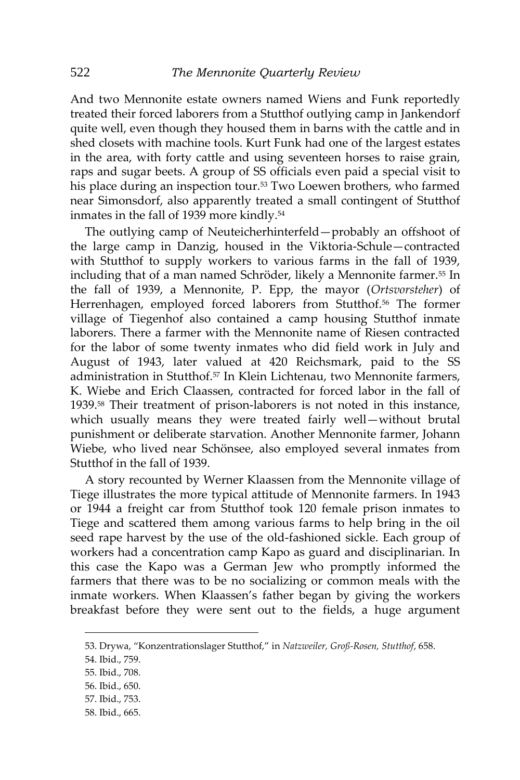And two Mennonite estate owners named Wiens and Funk reportedly treated their forced laborers from a Stutthof outlying camp in Jankendorf quite well, even though they housed them in barns with the cattle and in shed closets with machine tools. Kurt Funk had one of the largest estates in the area, with forty cattle and using seventeen horses to raise grain, raps and sugar beets. A group of SS officials even paid a special visit to his place during an inspection tour.<sup>53</sup> Two Loewen brothers, who farmed near Simonsdorf, also apparently treated a small contingent of Stutthof inmates in the fall of 1939 more kindly.<sup>54</sup>

The outlying camp of Neuteicherhinterfeld—probably an offshoot of the large camp in Danzig, housed in the Viktoria-Schule—contracted with Stutthof to supply workers to various farms in the fall of 1939, including that of a man named Schröder, likely a Mennonite farmer.<sup>55</sup> In the fall of 1939, a Mennonite, P. Epp, the mayor (*Ortsvorsteher*) of Herrenhagen, employed forced laborers from Stutthof.<sup>56</sup> The former village of Tiegenhof also contained a camp housing Stutthof inmate laborers. There a farmer with the Mennonite name of Riesen contracted for the labor of some twenty inmates who did field work in July and August of 1943, later valued at 420 Reichsmark, paid to the SS administration in Stutthof.<sup>57</sup> In Klein Lichtenau, two Mennonite farmers, K. Wiebe and Erich Claassen, contracted for forced labor in the fall of 1939.<sup>58</sup> Their treatment of prison-laborers is not noted in this instance, which usually means they were treated fairly well—without brutal punishment or deliberate starvation. Another Mennonite farmer, Johann Wiebe, who lived near Schönsee, also employed several inmates from Stutthof in the fall of 1939.

A story recounted by Werner Klaassen from the Mennonite village of Tiege illustrates the more typical attitude of Mennonite farmers. In 1943 or 1944 a freight car from Stutthof took 120 female prison inmates to Tiege and scattered them among various farms to help bring in the oil seed rape harvest by the use of the old-fashioned sickle. Each group of workers had a concentration camp Kapo as guard and disciplinarian. In this case the Kapo was a German Jew who promptly informed the farmers that there was to be no socializing or common meals with the inmate workers. When Klaassen's father began by giving the workers breakfast before they were sent out to the fields, a huge argument

- 56. Ibid., 650.
- 57. Ibid., 753.
- 58. Ibid., 665.

<sup>53</sup>. Drywa, 'Konzentrationslager Stutthof,' in *Natzweiler, Groß-Rosen, Stutthof*, 658.

<sup>54.</sup> Ibid., 759.

<sup>55.</sup> Ibid., 708.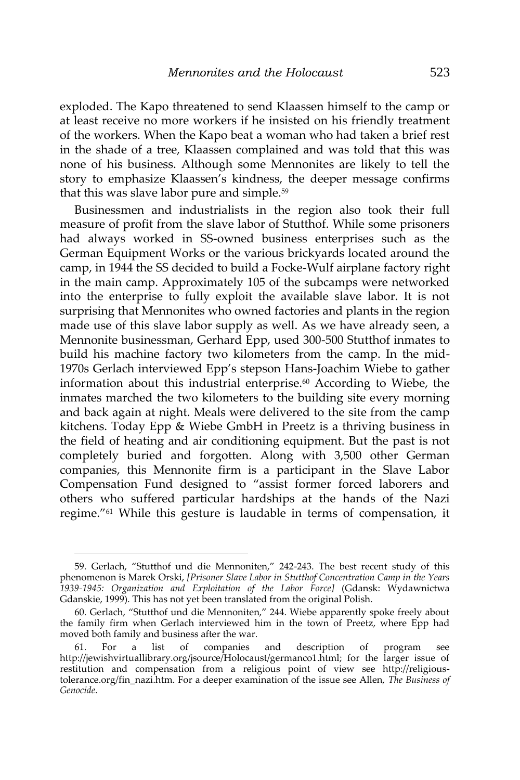exploded. The Kapo threatened to send Klaassen himself to the camp or at least receive no more workers if he insisted on his friendly treatment of the workers. When the Kapo beat a woman who had taken a brief rest in the shade of a tree, Klaassen complained and was told that this was none of his business. Although some Mennonites are likely to tell the story to emphasize Klaassen's kindness, the deeper message confirms that this was slave labor pure and simple.<sup>59</sup>

Businessmen and industrialists in the region also took their full measure of profit from the slave labor of Stutthof. While some prisoners had always worked in SS-owned business enterprises such as the German Equipment Works or the various brickyards located around the camp, in 1944 the SS decided to build a Focke-Wulf airplane factory right in the main camp. Approximately 105 of the subcamps were networked into the enterprise to fully exploit the available slave labor. It is not surprising that Mennonites who owned factories and plants in the region made use of this slave labor supply as well. As we have already seen, a Mennonite businessman, Gerhard Epp, used 300-500 Stutthof inmates to build his machine factory two kilometers from the camp. In the mid-1970s Gerlach interviewed Epp's stepson Hans-Joachim Wiebe to gather information about this industrial enterprise.<sup>60</sup> According to Wiebe, the inmates marched the two kilometers to the building site every morning and back again at night. Meals were delivered to the site from the camp kitchens. Today Epp & Wiebe GmbH in Preetz is a thriving business in the field of heating and air conditioning equipment. But the past is not completely buried and forgotten. Along with 3,500 other German companies, this Mennonite firm is a participant in the Slave Labor Compensation Fund designed to 'assist former forced laborers and others who suffered particular hardships at the hands of the Nazi regime.'<sup>61</sup> While this gesture is laudable in terms of compensation, it

<sup>59</sup>. Gerlach, 'Stutthof und die Mennoniten,' 242-243. The best recent study of this phenomenon is Marek Orski, *[Prisoner Slave Labor in Stutthof Concentration Camp in the Years 1939-1945: Organization and Exploitation of the Labor Force]* (Gdansk: Wydawnictwa Gdanskie, 1999). This has not yet been translated from the original Polish.

<sup>60</sup>. Gerlach, 'Stutthof und die Mennoniten,' 244. Wiebe apparently spoke freely about the family firm when Gerlach interviewed him in the town of Preetz, where Epp had moved both family and business after the war.

<sup>61.</sup> For a list of companies and description of program http://jewishvirtuallibrary.org/jsource/Holocaust/germanco1.html; for the larger issue of restitution and compensation from a religious point of view see http://religioustolerance.org/fin\_nazi.htm. For a deeper examination of the issue see Allen, *The Business of Genocide*.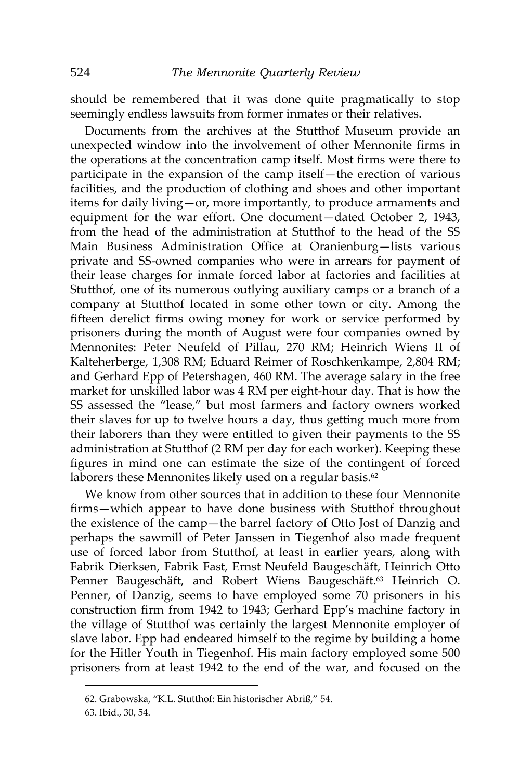should be remembered that it was done quite pragmatically to stop seemingly endless lawsuits from former inmates or their relatives.

Documents from the archives at the Stutthof Museum provide an unexpected window into the involvement of other Mennonite firms in the operations at the concentration camp itself. Most firms were there to participate in the expansion of the camp itself—the erection of various facilities, and the production of clothing and shoes and other important items for daily living—or, more importantly, to produce armaments and equipment for the war effort. One document—dated October 2, 1943, from the head of the administration at Stutthof to the head of the SS Main Business Administration Office at Oranienburg—lists various private and SS-owned companies who were in arrears for payment of their lease charges for inmate forced labor at factories and facilities at Stutthof, one of its numerous outlying auxiliary camps or a branch of a company at Stutthof located in some other town or city. Among the fifteen derelict firms owing money for work or service performed by prisoners during the month of August were four companies owned by Mennonites: Peter Neufeld of Pillau, 270 RM; Heinrich Wiens II of Kalteherberge, 1,308 RM; Eduard Reimer of Roschkenkampe, 2,804 RM; and Gerhard Epp of Petershagen, 460 RM. The average salary in the free market for unskilled labor was 4 RM per eight-hour day. That is how the SS assessed the "lease," but most farmers and factory owners worked their slaves for up to twelve hours a day, thus getting much more from their laborers than they were entitled to given their payments to the SS administration at Stutthof (2 RM per day for each worker). Keeping these figures in mind one can estimate the size of the contingent of forced laborers these Mennonites likely used on a regular basis.<sup>62</sup>

We know from other sources that in addition to these four Mennonite firms—which appear to have done business with Stutthof throughout the existence of the camp—the barrel factory of Otto Jost of Danzig and perhaps the sawmill of Peter Janssen in Tiegenhof also made frequent use of forced labor from Stutthof, at least in earlier years, along with Fabrik Dierksen, Fabrik Fast, Ernst Neufeld Baugeschäft, Heinrich Otto Penner Baugeschäft, and Robert Wiens Baugeschäft.<sup>63</sup> Heinrich O. Penner, of Danzig, seems to have employed some 70 prisoners in his construction firm from 1942 to 1943; Gerhard Epp's machine factory in the village of Stutthof was certainly the largest Mennonite employer of slave labor. Epp had endeared himself to the regime by building a home for the Hitler Youth in Tiegenhof. His main factory employed some 500 prisoners from at least 1942 to the end of the war, and focused on the

<sup>62.</sup> Grabowska, 'K.L. Stutthof: Ein historischer Abriß,' 54.

<sup>63.</sup> Ibid., 30, 54.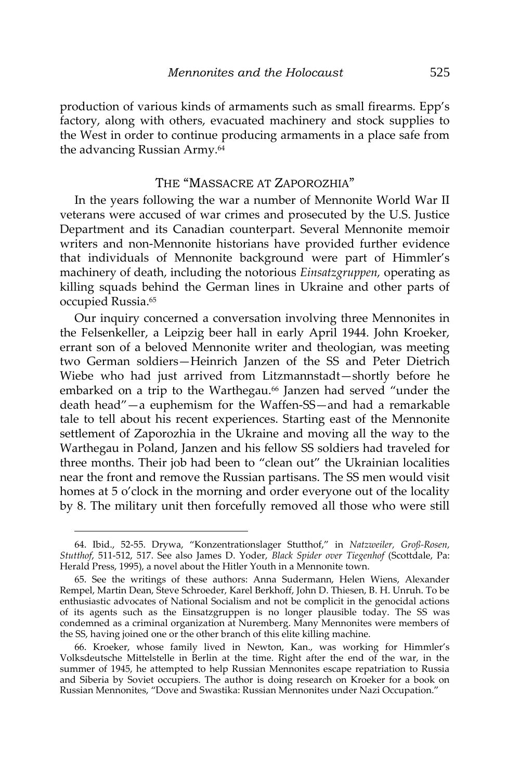production of various kinds of armaments such as small firearms. Epp's factory, along with others, evacuated machinery and stock supplies to the West in order to continue producing armaments in a place safe from the advancing Russian Army.<sup>64</sup>

## THE "MASSACRE AT ZAPOROZHIA"

In the years following the war a number of Mennonite World War II veterans were accused of war crimes and prosecuted by the U.S. Justice Department and its Canadian counterpart. Several Mennonite memoir writers and non-Mennonite historians have provided further evidence that individuals of Mennonite background were part of Himmler's machinery of death, including the notorious *Einsatzgruppen,* operating as killing squads behind the German lines in Ukraine and other parts of occupied Russia.<sup>65</sup>

Our inquiry concerned a conversation involving three Mennonites in the Felsenkeller, a Leipzig beer hall in early April 1944. John Kroeker, errant son of a beloved Mennonite writer and theologian, was meeting two German soldiers—Heinrich Janzen of the SS and Peter Dietrich Wiebe who had just arrived from Litzmannstadt—shortly before he embarked on a trip to the Warthegau.<sup>66</sup> Janzen had served "under the death head'—a euphemism for the Waffen-SS—and had a remarkable tale to tell about his recent experiences. Starting east of the Mennonite settlement of Zaporozhia in the Ukraine and moving all the way to the Warthegau in Poland, Janzen and his fellow SS soldiers had traveled for three months. Their job had been to 'clean out' the Ukrainian localities near the front and remove the Russian partisans. The SS men would visit homes at 5 o'clock in the morning and order everyone out of the locality by 8. The military unit then forcefully removed all those who were still

<sup>64.</sup> Ibid., 52-55. Drywa, 'Konzentrationslager Stutthof,' in *Natzweiler, Groß-Rosen, Stutthof*, 511-512, 517. See also James D. Yoder, *Black Spider over Tiegenhof* (Scottdale, Pa: Herald Press, 1995), a novel about the Hitler Youth in a Mennonite town.

<sup>65.</sup> See the writings of these authors: Anna Sudermann, Helen Wiens, Alexander Rempel, Martin Dean, Steve Schroeder, Karel Berkhoff, John D. Thiesen, B. H. Unruh. To be enthusiastic advocates of National Socialism and not be complicit in the genocidal actions of its agents such as the Einsatzgruppen is no longer plausible today. The SS was condemned as a criminal organization at Nuremberg. Many Mennonites were members of the SS, having joined one or the other branch of this elite killing machine.

<sup>66.</sup> Kroeker, whose family lived in Newton, Kan., was working for Himmler's Volksdeutsche Mittelstelle in Berlin at the time. Right after the end of the war, in the summer of 1945, he attempted to help Russian Mennonites escape repatriation to Russia and Siberia by Soviet occupiers. The author is doing research on Kroeker for a book on Russian Mennonites, 'Dove and Swastika: Russian Mennonites under Nazi Occupation.'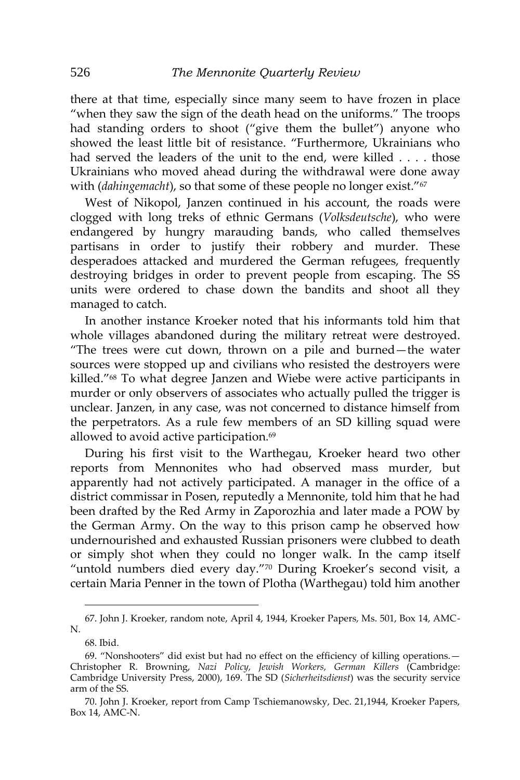there at that time, especially since many seem to have frozen in place 'when they saw the sign of the death head on the uniforms.' The troops had standing orders to shoot ("give them the bullet") anyone who showed the least little bit of resistance. 'Furthermore, Ukrainians who had served the leaders of the unit to the end, were killed . . . . those Ukrainians who moved ahead during the withdrawal were done away with (*dahingemacht*), so that some of these people no longer exist."<sup>67</sup>

West of Nikopol, Janzen continued in his account, the roads were clogged with long treks of ethnic Germans (*Volksdeutsche*), who were endangered by hungry marauding bands, who called themselves partisans in order to justify their robbery and murder. These desperadoes attacked and murdered the German refugees, frequently destroying bridges in order to prevent people from escaping. The SS units were ordered to chase down the bandits and shoot all they managed to catch.

In another instance Kroeker noted that his informants told him that whole villages abandoned during the military retreat were destroyed. 'The trees were cut down, thrown on a pile and burned—the water sources were stopped up and civilians who resisted the destroyers were killed."<sup>68</sup> To what degree Janzen and Wiebe were active participants in murder or only observers of associates who actually pulled the trigger is unclear. Janzen, in any case, was not concerned to distance himself from the perpetrators. As a rule few members of an SD killing squad were allowed to avoid active participation.<sup>69</sup>

During his first visit to the Warthegau, Kroeker heard two other reports from Mennonites who had observed mass murder, but apparently had not actively participated. A manager in the office of a district commissar in Posen, reputedly a Mennonite, told him that he had been drafted by the Red Army in Zaporozhia and later made a POW by the German Army. On the way to this prison camp he observed how undernourished and exhausted Russian prisoners were clubbed to death or simply shot when they could no longer walk. In the camp itself 'untold numbers died every day.'<sup>70</sup> During Kroeker's second visit, a certain Maria Penner in the town of Plotha (Warthegau) told him another

<sup>67.</sup> John J. Kroeker, random note, April 4, 1944, Kroeker Papers, Ms. 501, Box 14, AMC-N.

<sup>68.</sup> Ibid.

<sup>69</sup>. 'Nonshooters' did exist but had no effect on the efficiency of killing operations.— Christopher R. Browning, *Nazi Policy, Jewish Workers, German Killers* (Cambridge: Cambridge University Press, 2000), 169. The SD (*Sicherheitsdienst*) was the security service arm of the SS.

<sup>70.</sup> John J. Kroeker, report from Camp Tschiemanowsky, Dec. 21,1944, Kroeker Papers, Box 14, AMC-N.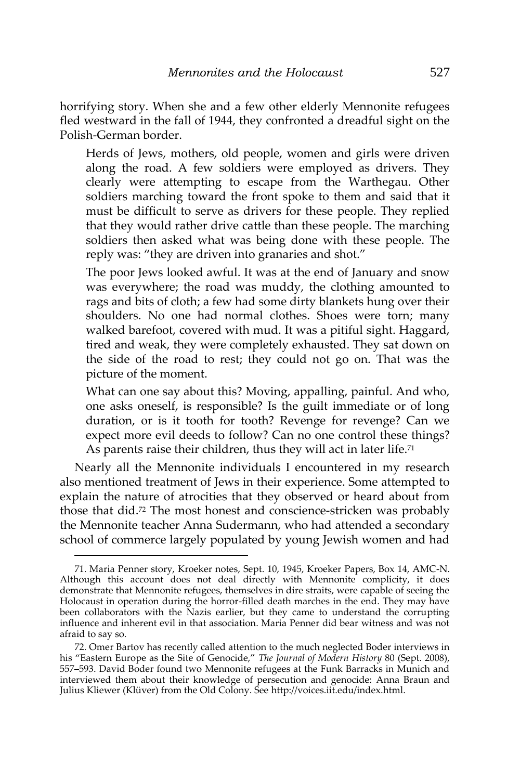horrifying story. When she and a few other elderly Mennonite refugees fled westward in the fall of 1944, they confronted a dreadful sight on the Polish-German border.

Herds of Jews, mothers, old people, women and girls were driven along the road. A few soldiers were employed as drivers. They clearly were attempting to escape from the Warthegau. Other soldiers marching toward the front spoke to them and said that it must be difficult to serve as drivers for these people. They replied that they would rather drive cattle than these people. The marching soldiers then asked what was being done with these people. The reply was: "they are driven into granaries and shot."

The poor Jews looked awful. It was at the end of January and snow was everywhere; the road was muddy, the clothing amounted to rags and bits of cloth; a few had some dirty blankets hung over their shoulders. No one had normal clothes. Shoes were torn; many walked barefoot, covered with mud. It was a pitiful sight. Haggard, tired and weak, they were completely exhausted. They sat down on the side of the road to rest; they could not go on. That was the picture of the moment.

What can one say about this? Moving, appalling, painful. And who, one asks oneself, is responsible? Is the guilt immediate or of long duration, or is it tooth for tooth? Revenge for revenge? Can we expect more evil deeds to follow? Can no one control these things? As parents raise their children, thus they will act in later life.<sup>71</sup>

Nearly all the Mennonite individuals I encountered in my research also mentioned treatment of Jews in their experience. Some attempted to explain the nature of atrocities that they observed or heard about from those that did.<sup>72</sup> The most honest and conscience-stricken was probably the Mennonite teacher Anna Sudermann, who had attended a secondary school of commerce largely populated by young Jewish women and had

<sup>71.</sup> Maria Penner story, Kroeker notes, Sept. 10, 1945, Kroeker Papers, Box 14, AMC-N. Although this account does not deal directly with Mennonite complicity, it does demonstrate that Mennonite refugees, themselves in dire straits, were capable of seeing the Holocaust in operation during the horror-filled death marches in the end. They may have been collaborators with the Nazis earlier, but they came to understand the corrupting influence and inherent evil in that association. Maria Penner did bear witness and was not afraid to say so.

<sup>72.</sup> Omer Bartov has recently called attention to the much neglected Boder interviews in his 'Eastern Europe as the Site of Genocide,' *The Journal of Modern History* 80 (Sept. 2008), 557–593. David Boder found two Mennonite refugees at the Funk Barracks in Munich and interviewed them about their knowledge of persecution and genocide: Anna Braun and Julius Kliewer (Klüver) from the Old Colony. See http://voices.iit.edu/index.html.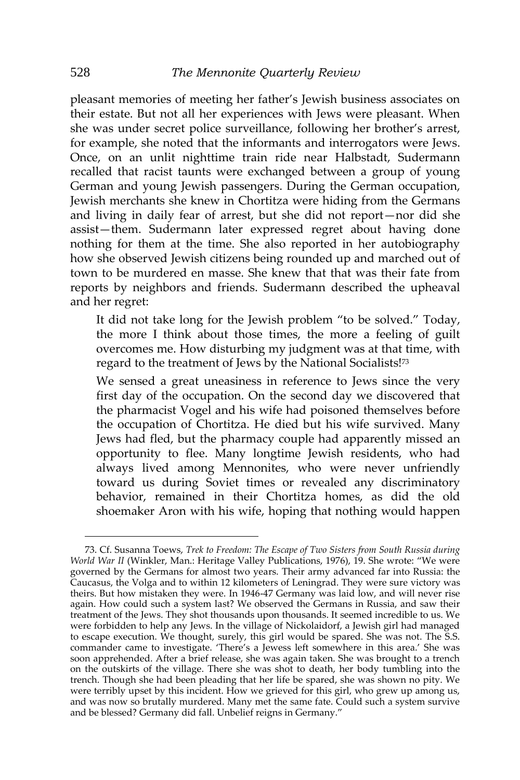pleasant memories of meeting her father's Jewish business associates on their estate. But not all her experiences with Jews were pleasant. When she was under secret police surveillance, following her brother's arrest, for example, she noted that the informants and interrogators were Jews. Once, on an unlit nighttime train ride near Halbstadt, Sudermann recalled that racist taunts were exchanged between a group of young German and young Jewish passengers. During the German occupation, Jewish merchants she knew in Chortitza were hiding from the Germans and living in daily fear of arrest, but she did not report—nor did she assist—them. Sudermann later expressed regret about having done nothing for them at the time. She also reported in her autobiography how she observed Jewish citizens being rounded up and marched out of town to be murdered en masse. She knew that that was their fate from reports by neighbors and friends. Sudermann described the upheaval and her regret:

It did not take long for the Jewish problem 'to be solved.' Today, the more I think about those times, the more a feeling of guilt overcomes me. How disturbing my judgment was at that time, with regard to the treatment of Jews by the National Socialists!<sup>73</sup>

We sensed a great uneasiness in reference to Jews since the very first day of the occupation. On the second day we discovered that the pharmacist Vogel and his wife had poisoned themselves before the occupation of Chortitza. He died but his wife survived. Many Jews had fled, but the pharmacy couple had apparently missed an opportunity to flee. Many longtime Jewish residents, who had always lived among Mennonites, who were never unfriendly toward us during Soviet times or revealed any discriminatory behavior, remained in their Chortitza homes, as did the old shoemaker Aron with his wife, hoping that nothing would happen

<sup>73.</sup> Cf. Susanna Toews, *Trek to Freedom: The Escape of Two Sisters from South Russia during World War II* (Winkler, Man.: Heritage Valley Publications, 1976), 19. She wrote: 'We were governed by the Germans for almost two years. Their army advanced far into Russia: the Caucasus, the Volga and to within 12 kilometers of Leningrad. They were sure victory was theirs. But how mistaken they were. In 1946-47 Germany was laid low, and will never rise again. How could such a system last? We observed the Germans in Russia, and saw their treatment of the Jews. They shot thousands upon thousands. It seemed incredible to us. We were forbidden to help any Jews. In the village of Nickolaidorf, a Jewish girl had managed to escape execution. We thought, surely, this girl would be spared. She was not. The S.S. commander came to investigate. 'There's a Jewess left somewhere in this area.' She was soon apprehended. After a brief release, she was again taken. She was brought to a trench on the outskirts of the village. There she was shot to death, her body tumbling into the trench. Though she had been pleading that her life be spared, she was shown no pity. We were terribly upset by this incident. How we grieved for this girl, who grew up among us, and was now so brutally murdered. Many met the same fate. Could such a system survive and be blessed? Germany did fall. Unbelief reigns in Germany.'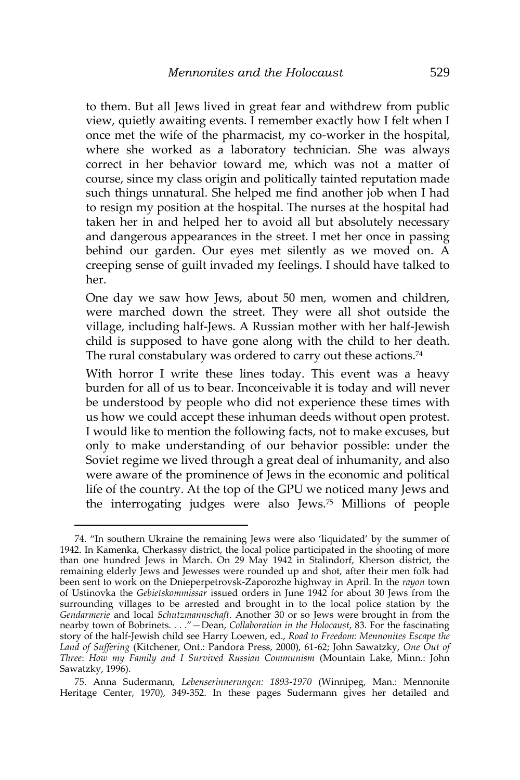to them. But all Jews lived in great fear and withdrew from public view, quietly awaiting events. I remember exactly how I felt when I once met the wife of the pharmacist, my co-worker in the hospital, where she worked as a laboratory technician. She was always correct in her behavior toward me, which was not a matter of course, since my class origin and politically tainted reputation made such things unnatural. She helped me find another job when I had to resign my position at the hospital. The nurses at the hospital had taken her in and helped her to avoid all but absolutely necessary and dangerous appearances in the street. I met her once in passing behind our garden. Our eyes met silently as we moved on. A creeping sense of guilt invaded my feelings. I should have talked to her.

One day we saw how Jews, about 50 men, women and children, were marched down the street. They were all shot outside the village, including half-Jews. A Russian mother with her half-Jewish child is supposed to have gone along with the child to her death. The rural constabulary was ordered to carry out these actions.<sup>74</sup>

With horror I write these lines today. This event was a heavy burden for all of us to bear. Inconceivable it is today and will never be understood by people who did not experience these times with us how we could accept these inhuman deeds without open protest. I would like to mention the following facts, not to make excuses, but only to make understanding of our behavior possible: under the Soviet regime we lived through a great deal of inhumanity, and also were aware of the prominence of Jews in the economic and political life of the country. At the top of the GPU we noticed many Jews and the interrogating judges were also Jews.<sup>75</sup> Millions of people

 $\overline{a}$ 

75. Anna Sudermann, *Lebenserinnerungen: 1893-1970* (Winnipeg, Man.: Mennonite Heritage Center, 1970), 349-352. In these pages Sudermann gives her detailed and

<sup>74</sup>. 'In southern Ukraine the remaining Jews were also 'liquidated' by the summer of 1942. In Kamenka, Cherkassy district, the local police participated in the shooting of more than one hundred Jews in March. On 29 May 1942 in Stalindorf, Kherson district, the remaining elderly Jews and Jewesses were rounded up and shot, after their men folk had been sent to work on the Dnieperpetrovsk-Zaporozhe highway in April. In the *rayon* town of Ustinovka the *Gebietskommissar* issued orders in June 1942 for about 30 Jews from the surrounding villages to be arrested and brought in to the local police station by the *Gendarmerie* and local *Schutzmannschaft*. Another 30 or so Jews were brought in from the nearby town of Bobrinets. . . .'—Dean, *Collaboration in the Holocaust*, 83. For the fascinating story of the half-Jewish child see Harry Loewen, ed., *Road to Freedom: Mennonites Escape the Land of Suffering* (Kitchener, Ont.: Pandora Press, 2000), 61-62; John Sawatzky, *One Out of Three*: *How my Family and I Survived Russian Communism* (Mountain Lake, Minn.: John Sawatzky, 1996).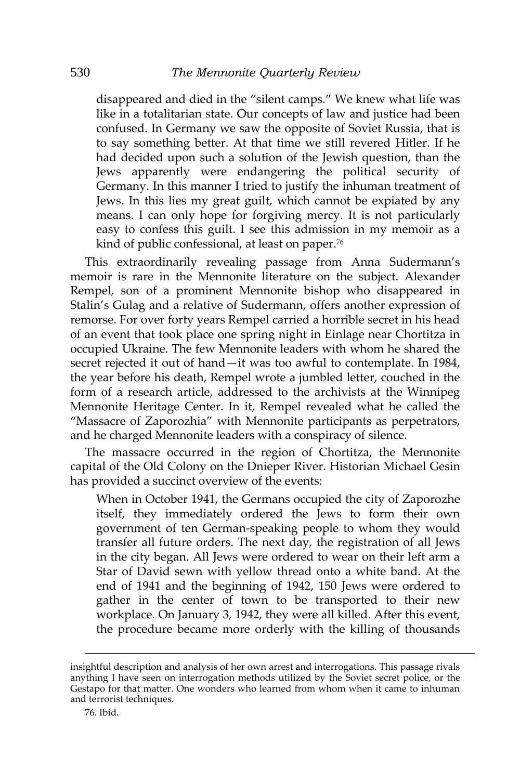disappeared and died in the 'silent camps.' We knew what life was like in a totalitarian state. Our concepts of law and justice had been confused. In Germany we saw the opposite of Soviet Russia, that is to say something better. At that time we still revered Hitler. If he had decided upon such a solution of the Jewish question, than the Jews apparently were endangering the political security of Germany. In this manner I tried to justify the inhuman treatment of Jews. In this lies my great guilt, which cannot be expiated by any means. I can only hope for forgiving mercy. It is not particularly easy to confess this guilt. I see this admission in my memoir as a kind of public confessional, at least on paper.<sup>76</sup>

This extraordinarily revealing passage from Anna Sudermann's memoir is rare in the Mennonite literature on the subject. Alexander Rempel, son of a prominent Mennonite bishop who disappeared in Stalin's Gulag and a relative of Sudermann, offers another expression of remorse. For over forty years Rempel carried a horrible secret in his head of an event that took place one spring night in Einlage near Chortitza in occupied Ukraine. The few Mennonite leaders with whom he shared the secret rejected it out of hand—it was too awful to contemplate. In 1984, the year before his death, Rempel wrote a jumbled letter, couched in the form of a research article, addressed to the archivists at the Winnipeg Mennonite Heritage Center. In it, Rempel revealed what he called the 'Massacre of Zaporozhia' with Mennonite participants as perpetrators, and he charged Mennonite leaders with a conspiracy of silence.

The massacre occurred in the region of Chortitza, the Mennonite capital of the Old Colony on the Dnieper River. Historian Michael Gesin has provided a succinct overview of the events:

When in October 1941, the Germans occupied the city of Zaporozhe itself, they immediately ordered the Jews to form their own government of ten German-speaking people to whom they would transfer all future orders. The next day, the registration of all Jews in the city began. All Jews were ordered to wear on their left arm a Star of David sewn with yellow thread onto a white band. At the end of 1941 and the beginning of 1942, 150 Jews were ordered to gather in the center of town to be transported to their new workplace. On January 3, 1942, they were all killed. After this event, the procedure became more orderly with the killing of thousands

insightful description and analysis of her own arrest and interrogations. This passage rivals anything I have seen on interrogation methods utilized by the Soviet secret police, or the Gestapo for that matter. One wonders who learned from whom when it came to inhuman and terrorist techniques.

<sup>76.</sup> Ibid.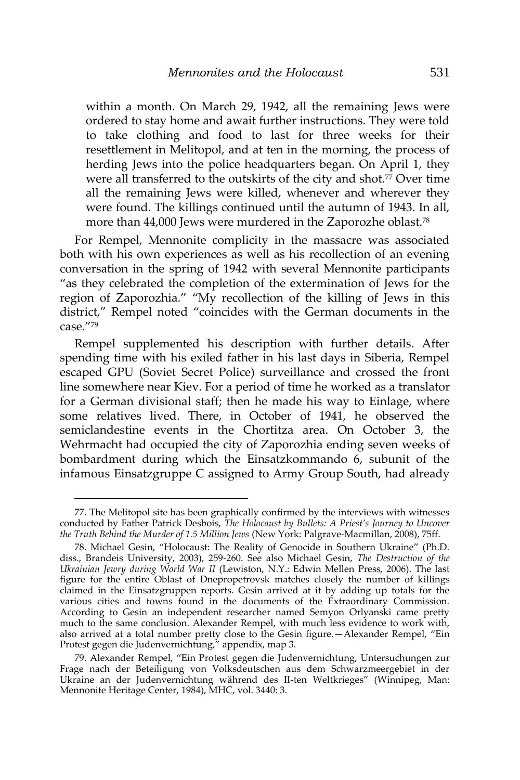within a month. On March 29, 1942, all the remaining Jews were ordered to stay home and await further instructions. They were told to take clothing and food to last for three weeks for their resettlement in Melitopol, and at ten in the morning, the process of herding Jews into the police headquarters began. On April 1, they were all transferred to the outskirts of the city and shot.<sup>77</sup> Over time all the remaining Jews were killed, whenever and wherever they were found. The killings continued until the autumn of 1943. In all, more than 44,000 Jews were murdered in the Zaporozhe oblast.<sup>78</sup>

For Rempel, Mennonite complicity in the massacre was associated both with his own experiences as well as his recollection of an evening conversation in the spring of 1942 with several Mennonite participants 'as they celebrated the completion of the extermination of Jews for the region of Zaporozhia.' 'My recollection of the killing of Jews in this district,' Rempel noted 'coincides with the German documents in the case.'<sup>79</sup>

Rempel supplemented his description with further details. After spending time with his exiled father in his last days in Siberia, Rempel escaped GPU (Soviet Secret Police) surveillance and crossed the front line somewhere near Kiev. For a period of time he worked as a translator for a German divisional staff; then he made his way to Einlage, where some relatives lived. There, in October of 1941, he observed the semiclandestine events in the Chortitza area. On October 3, the Wehrmacht had occupied the city of Zaporozhia ending seven weeks of bombardment during which the Einsatzkommando 6, subunit of the infamous Einsatzgruppe C assigned to Army Group South, had already

<sup>77.</sup> The Melitopol site has been graphically confirmed by the interviews with witnesses conducted by Father Patrick Desbois, *The Holocaust by Bullets: A Priest's Journey to Uncover the Truth Behind the Murder of 1.5 Million Jews* (New York: Palgrave-Macmillan, 2008), 75ff.

<sup>78</sup>. Michael Gesin, 'Holocaust: The Reality of Genocide in Southern Ukraine' (Ph.D. diss., Brandeis University, 2003), 259-260. See also Michael Gesin, *The Destruction of the Ukrainian Jewry during World War II* (Lewiston, N.Y.: Edwin Mellen Press, 2006). The last figure for the entire Oblast of Dnepropetrovsk matches closely the number of killings claimed in the Einsatzgruppen reports. Gesin arrived at it by adding up totals for the various cities and towns found in the documents of the Extraordinary Commission. According to Gesin an independent researcher named Semyon Orlyanski came pretty much to the same conclusion. Alexander Rempel, with much less evidence to work with, also arrived at a total number pretty close to the Gesin figure.—Alexander Rempel, 'Ein Protest gegen die Judenvernichtung,' appendix, map 3.

<sup>79</sup>. Alexander Rempel, 'Ein Protest gegen die Judenvernichtung, Untersuchungen zur Frage nach der Beteiligung von Volksdeutschen aus dem Schwarzmeergebiet in der Ukraine an der Judenvernichtung während des II-ten Weltkrieges' (Winnipeg, Man: Mennonite Heritage Center, 1984), MHC, vol. 3440: 3.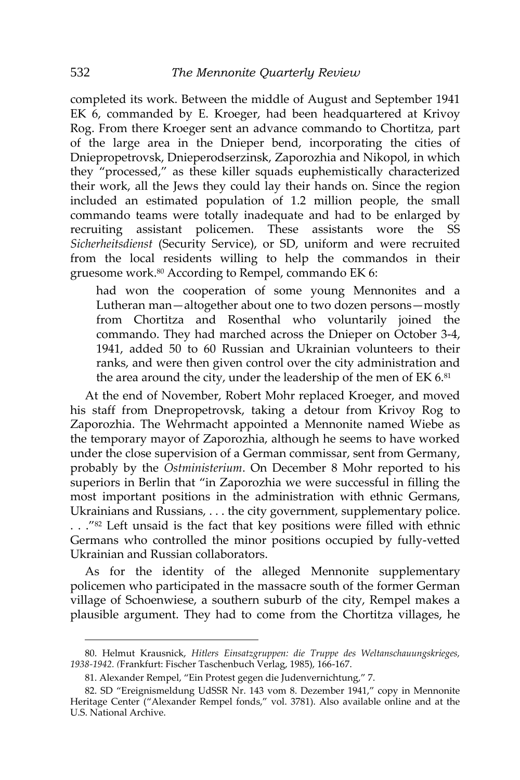completed its work. Between the middle of August and September 1941 EK 6, commanded by E. Kroeger, had been headquartered at Krivoy Rog. From there Kroeger sent an advance commando to Chortitza, part of the large area in the Dnieper bend, incorporating the cities of Dniepropetrovsk, Dnieperodserzinsk, Zaporozhia and Nikopol, in which they 'processed,' as these killer squads euphemistically characterized their work, all the Jews they could lay their hands on. Since the region included an estimated population of 1.2 million people, the small commando teams were totally inadequate and had to be enlarged by recruiting assistant policemen. These assistants wore the SS *Sicherheitsdienst* (Security Service), or SD, uniform and were recruited from the local residents willing to help the commandos in their gruesome work.<sup>80</sup> According to Rempel, commando EK 6:

had won the cooperation of some young Mennonites and a Lutheran man—altogether about one to two dozen persons—mostly from Chortitza and Rosenthal who voluntarily joined the commando. They had marched across the Dnieper on October 3-4, 1941, added 50 to 60 Russian and Ukrainian volunteers to their ranks, and were then given control over the city administration and the area around the city, under the leadership of the men of EK 6.81

At the end of November, Robert Mohr replaced Kroeger, and moved his staff from Dnepropetrovsk, taking a detour from Krivoy Rog to Zaporozhia. The Wehrmacht appointed a Mennonite named Wiebe as the temporary mayor of Zaporozhia, although he seems to have worked under the close supervision of a German commissar, sent from Germany, probably by the *Ostministerium*. On December 8 Mohr reported to his superiors in Berlin that 'in Zaporozhia we were successful in filling the most important positions in the administration with ethnic Germans, Ukrainians and Russians, . . . the city government, supplementary police. . . .'<sup>82</sup> Left unsaid is the fact that key positions were filled with ethnic Germans who controlled the minor positions occupied by fully-vetted Ukrainian and Russian collaborators.

As for the identity of the alleged Mennonite supplementary policemen who participated in the massacre south of the former German village of Schoenwiese, a southern suburb of the city, Rempel makes a plausible argument. They had to come from the Chortitza villages, he

<sup>80.</sup> Helmut Krausnick, *Hitlers Einsatzgruppen: die Truppe des Weltanschauungskrieges, 1938-1942. (*Frankfurt: Fischer Taschenbuch Verlag, 1985), 166-167.

<sup>81</sup>. Alexander Rempel, 'Ein Protest gegen die Judenvernichtung,' 7.

<sup>82</sup>. SD 'Ereignismeldung UdSSR Nr. 143 vom 8. Dezember 1941,' copy in Mennonite Heritage Center ("Alexander Rempel fonds," vol. 3781). Also available online and at the U.S. National Archive.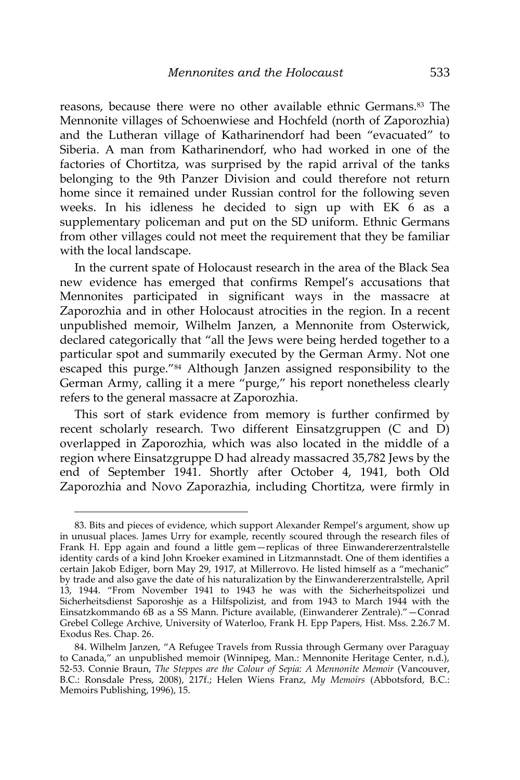reasons, because there were no other available ethnic Germans.<sup>83</sup> The Mennonite villages of Schoenwiese and Hochfeld (north of Zaporozhia) and the Lutheran village of Katharinendorf had been 'evacuated' to Siberia. A man from Katharinendorf, who had worked in one of the factories of Chortitza, was surprised by the rapid arrival of the tanks belonging to the 9th Panzer Division and could therefore not return home since it remained under Russian control for the following seven weeks. In his idleness he decided to sign up with EK 6 as a supplementary policeman and put on the SD uniform. Ethnic Germans from other villages could not meet the requirement that they be familiar with the local landscape.

In the current spate of Holocaust research in the area of the Black Sea new evidence has emerged that confirms Rempel's accusations that Mennonites participated in significant ways in the massacre at Zaporozhia and in other Holocaust atrocities in the region. In a recent unpublished memoir, Wilhelm Janzen, a Mennonite from Osterwick, declared categorically that 'all the Jews were being herded together to a particular spot and summarily executed by the German Army. Not one escaped this purge."<sup>84</sup> Although Janzen assigned responsibility to the German Army, calling it a mere 'purge,' his report nonetheless clearly refers to the general massacre at Zaporozhia.

This sort of stark evidence from memory is further confirmed by recent scholarly research. Two different Einsatzgruppen (C and D) overlapped in Zaporozhia, which was also located in the middle of a region where Einsatzgruppe D had already massacred 35,782 Jews by the end of September 1941. Shortly after October 4, 1941, both Old Zaporozhia and Novo Zaporazhia, including Chortitza, were firmly in

<sup>83</sup>. Bits and pieces of evidence, which support Alexander Rempel's argument, show up in unusual places. James Urry for example, recently scoured through the research files of Frank H. Epp again and found a little gem—replicas of three Einwandererzentralstelle identity cards of a kind John Kroeker examined in Litzmannstadt. One of them identifies a certain Jakob Ediger, born May 29, 1917, at Millerrovo. He listed himself as a 'mechanic' by trade and also gave the date of his naturalization by the Einwandererzentralstelle, April 13, 1944. 'From November 1941 to 1943 he was with the Sicherheitspolizei und Sicherheitsdienst Saporoshje as a Hilfspolizist, and from 1943 to March 1944 with the Einsatzkommando 6B as a SS Mann. Picture available, (Einwanderer Zentrale).'—Conrad Grebel College Archive, University of Waterloo, Frank H. Epp Papers, Hist. Mss. 2.26.7 M. Exodus Res. Chap. 26.

<sup>84</sup>. Wilhelm Janzen, 'A Refugee Travels from Russia through Germany over Paraguay to Canada,' an unpublished memoir (Winnipeg, Man.: Mennonite Heritage Center, n.d.), 52-53. Connie Braun, *The Steppes are the Colour of Sepia: A Mennonite Memoir* (Vancouver, B.C.: Ronsdale Press, 2008), 217f.; Helen Wiens Franz, *My Memoirs* (Abbotsford, B.C.: Memoirs Publishing, 1996), 15.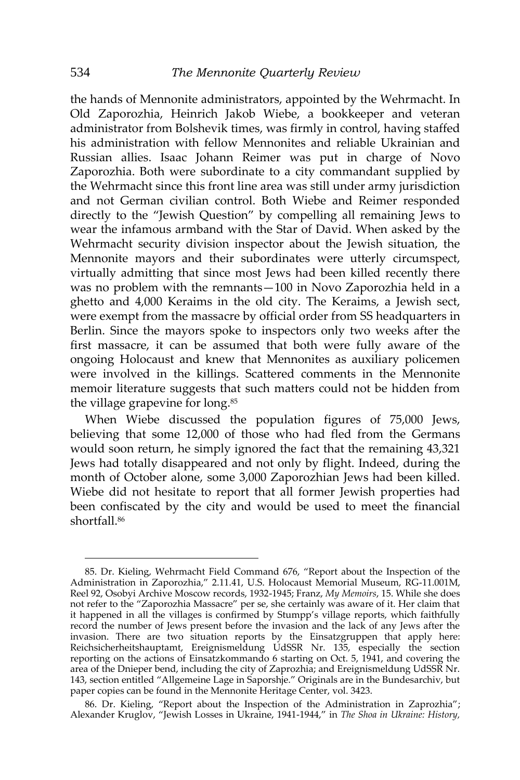the hands of Mennonite administrators, appointed by the Wehrmacht. In Old Zaporozhia, Heinrich Jakob Wiebe, a bookkeeper and veteran administrator from Bolshevik times, was firmly in control, having staffed his administration with fellow Mennonites and reliable Ukrainian and Russian allies. Isaac Johann Reimer was put in charge of Novo Zaporozhia. Both were subordinate to a city commandant supplied by the Wehrmacht since this front line area was still under army jurisdiction and not German civilian control. Both Wiebe and Reimer responded directly to the 'Jewish Question' by compelling all remaining Jews to wear the infamous armband with the Star of David. When asked by the Wehrmacht security division inspector about the Jewish situation, the Mennonite mayors and their subordinates were utterly circumspect, virtually admitting that since most Jews had been killed recently there was no problem with the remnants—100 in Novo Zaporozhia held in a ghetto and 4,000 Keraims in the old city. The Keraims, a Jewish sect, were exempt from the massacre by official order from SS headquarters in Berlin. Since the mayors spoke to inspectors only two weeks after the first massacre, it can be assumed that both were fully aware of the ongoing Holocaust and knew that Mennonites as auxiliary policemen were involved in the killings. Scattered comments in the Mennonite memoir literature suggests that such matters could not be hidden from the village grapevine for long.<sup>85</sup>

When Wiebe discussed the population figures of 75,000 Jews, believing that some 12,000 of those who had fled from the Germans would soon return, he simply ignored the fact that the remaining 43,321 Jews had totally disappeared and not only by flight. Indeed, during the month of October alone, some 3,000 Zaporozhian Jews had been killed. Wiebe did not hesitate to report that all former Jewish properties had been confiscated by the city and would be used to meet the financial shortfall<sup>86</sup>

<sup>85</sup>. Dr. Kieling, Wehrmacht Field Command 676, 'Report about the Inspection of the Administration in Zaporozhia,' 2.11.41, U.S. Holocaust Memorial Museum, RG-11.001M, Reel 92, Osobyi Archive Moscow records, 1932-1945; Franz, *My Memoirs*, 15. While she does not refer to the 'Zaporozhia Massacre' per se, she certainly was aware of it. Her claim that it happened in all the villages is confirmed by Stumpp's village reports, which faithfully record the number of Jews present before the invasion and the lack of any Jews after the invasion. There are two situation reports by the Einsatzgruppen that apply here: Reichsicherheitshauptamt, Ereignismeldung UdSSR Nr. 135, especially the section reporting on the actions of Einsatzkommando 6 starting on Oct. 5, 1941, and covering the area of the Dnieper bend, including the city of Zaprozhia; and Ereignismeldung UdSSR Nr. 143, section entitled 'Allgemeine Lage in Saporshje.' Originals are in the Bundesarchiv, but paper copies can be found in the Mennonite Heritage Center, vol. 3423.

<sup>86</sup>. Dr. Kieling, 'Report about the Inspection of the Administration in Zaprozhia'; Alexander Kruglov, 'Jewish Losses in Ukraine, 1941-1944,' in *The Shoa in Ukraine: History,*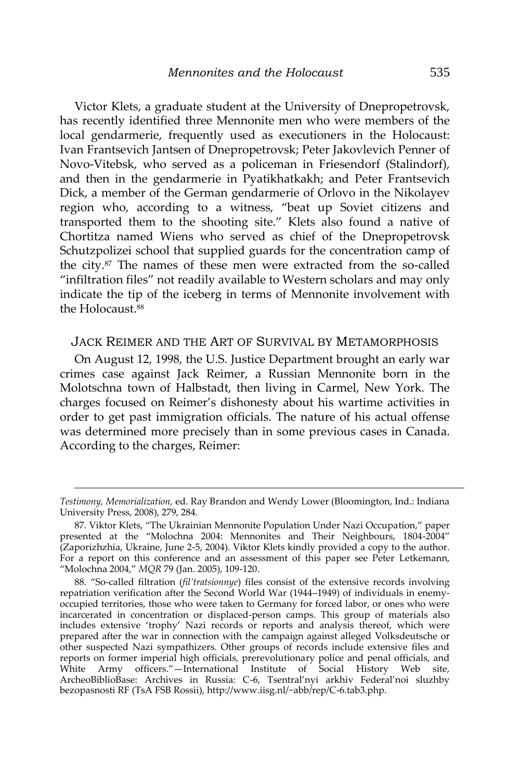Victor Klets, a graduate student at the University of Dnepropetrovsk, has recently identified three Mennonite men who were members of the local gendarmerie, frequently used as executioners in the Holocaust: Ivan Frantsevich Jantsen of Dnepropetrovsk; Peter Jakovlevich Penner of Novo-Vitebsk, who served as a policeman in Friesendorf (Stalindorf), and then in the gendarmerie in Pyatikhatkakh; and Peter Frantsevich Dick, a member of the German gendarmerie of Orlovo in the Nikolayev region who, according to a witness, 'beat up Soviet citizens and transported them to the shooting site.' Klets also found a native of Chortitza named Wiens who served as chief of the Dnepropetrovsk Schutzpolizei school that supplied guards for the concentration camp of the city.<sup>87</sup> The names of these men were extracted from the so-called 'infiltration files' not readily available to Western scholars and may only indicate the tip of the iceberg in terms of Mennonite involvement with the Holocaust.<sup>88</sup>

### JACK REIMER AND THE ART OF SURVIVAL BY METAMORPHOSIS

On August 12, 1998, the U.S. Justice Department brought an early war crimes case against Jack Reimer, a Russian Mennonite born in the Molotschna town of Halbstadt, then living in Carmel, New York. The charges focused on Reimer's dishonesty about his wartime activities in order to get past immigration officials. The nature of his actual offense was determined more precisely than in some previous cases in Canada. According to the charges, Reimer:

*Testimony, Memorialization,* ed. Ray Brandon and Wendy Lower (Bloomington, Ind.: Indiana University Press, 2008), 279, 284.

<sup>87</sup>. Viktor Klets, 'The Ukrainian Mennonite Population Under Nazi Occupation,' paper presented at the "Molochna 2004: Mennonites and Their Neighbours, 1804-2004" (Zaporizhzhia, Ukraine, June 2-5, 2004). Viktor Klets kindly provided a copy to the author. For a report on this conference and an assessment of this paper see Peter Letkemann, 'Molochna 2004,' *MQR* 79 (Jan. 2005), 109-120.

<sup>88</sup>. 'So-called filtration (*fil'tratsionnye*) files consist of the extensive records involving repatriation verification after the Second World War (1944–1949) of individuals in enemyoccupied territories, those who were taken to Germany for forced labor, or ones who were incarcerated in concentration or displaced-person camps. This group of materials also includes extensive 'trophy' Nazi records or reports and analysis thereof, which were prepared after the war in connection with the campaign against alleged Volksdeutsche or other suspected Nazi sympathizers. Other groups of records include extensive files and reports on former imperial high officials, prerevolutionary police and penal officials, and White Army officers.'—International Institute of Social History Web site, ArcheoBiblioBase: Archives in Russia: C-6, Tsentral'nyi arkhiv Federal'noi sluzhby bezopasnosti RF (TsA FSB Rossii), http://www.iisg.nl/~abb/rep/C-6.tab3.php.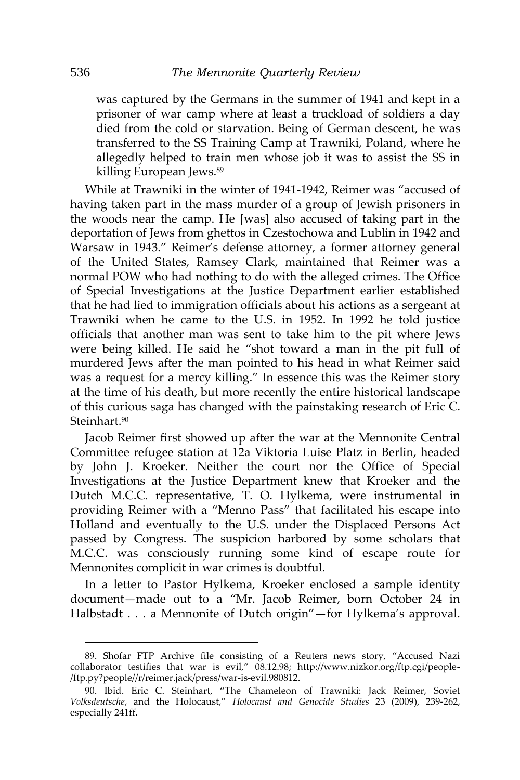was captured by the Germans in the summer of 1941 and kept in a prisoner of war camp where at least a truckload of soldiers a day died from the cold or starvation. Being of German descent, he was transferred to the SS Training Camp at Trawniki, Poland, where he allegedly helped to train men whose job it was to assist the SS in killing European Jews.<sup>89</sup>

While at Trawniki in the winter of 1941-1942, Reimer was 'accused of having taken part in the mass murder of a group of Jewish prisoners in the woods near the camp. He [was] also accused of taking part in the deportation of Jews from ghettos in Czestochowa and Lublin in 1942 and Warsaw in 1943.' Reimer's defense attorney, a former attorney general of the United States, Ramsey Clark, maintained that Reimer was a normal POW who had nothing to do with the alleged crimes. The Office of Special Investigations at the Justice Department earlier established that he had lied to immigration officials about his actions as a sergeant at Trawniki when he came to the U.S. in 1952. In 1992 he told justice officials that another man was sent to take him to the pit where Jews were being killed. He said he 'shot toward a man in the pit full of murdered Jews after the man pointed to his head in what Reimer said was a request for a mercy killing.' In essence this was the Reimer story at the time of his death, but more recently the entire historical landscape of this curious saga has changed with the painstaking research of Eric C. Steinhart.<sup>90</sup>

Jacob Reimer first showed up after the war at the Mennonite Central Committee refugee station at 12a Viktoria Luise Platz in Berlin, headed by John J. Kroeker. Neither the court nor the Office of Special Investigations at the Justice Department knew that Kroeker and the Dutch M.C.C. representative, T. O. Hylkema, were instrumental in providing Reimer with a "Menno Pass" that facilitated his escape into Holland and eventually to the U.S. under the Displaced Persons Act passed by Congress. The suspicion harbored by some scholars that M.C.C. was consciously running some kind of escape route for Mennonites complicit in war crimes is doubtful.

In a letter to Pastor Hylkema, Kroeker enclosed a sample identity document—made out to a 'Mr. Jacob Reimer, born October 24 in Halbstadt . . . a Mennonite of Dutch origin" - for Hylkema's approval.

<sup>89</sup>. Shofar FTP Archive file consisting of a Reuters news story, 'Accused Nazi collaborator testifies that war is evil," 08.12.98; http://www.nizkor.org/ftp.cgi/people-/ftp.py?people//r/reimer.jack/press/war-is-evil.980812.

<sup>90.</sup> Ibid. Eric C. Steinhart, 'The Chameleon of Trawniki: Jack Reimer, Soviet *Volksdeutsche*, and the Holocaust,' *Holocaust and Genocide Studies* 23 (2009), 239-262, especially 241ff.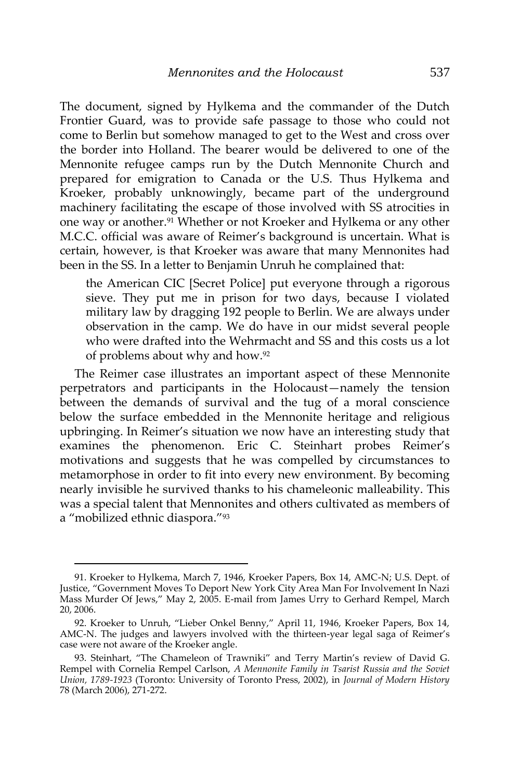The document, signed by Hylkema and the commander of the Dutch Frontier Guard, was to provide safe passage to those who could not come to Berlin but somehow managed to get to the West and cross over the border into Holland. The bearer would be delivered to one of the Mennonite refugee camps run by the Dutch Mennonite Church and prepared for emigration to Canada or the U.S. Thus Hylkema and Kroeker, probably unknowingly, became part of the underground machinery facilitating the escape of those involved with SS atrocities in one way or another.<sup>91</sup> Whether or not Kroeker and Hylkema or any other M.C.C. official was aware of Reimer's background is uncertain. What is certain, however, is that Kroeker was aware that many Mennonites had been in the SS. In a letter to Benjamin Unruh he complained that:

the American CIC [Secret Police] put everyone through a rigorous sieve. They put me in prison for two days, because I violated military law by dragging 192 people to Berlin. We are always under observation in the camp. We do have in our midst several people who were drafted into the Wehrmacht and SS and this costs us a lot of problems about why and how.<sup>92</sup>

The Reimer case illustrates an important aspect of these Mennonite perpetrators and participants in the Holocaust—namely the tension between the demands of survival and the tug of a moral conscience below the surface embedded in the Mennonite heritage and religious upbringing. In Reimer's situation we now have an interesting study that examines the phenomenon. Eric C. Steinhart probes Reimer's motivations and suggests that he was compelled by circumstances to metamorphose in order to fit into every new environment. By becoming nearly invisible he survived thanks to his chameleonic malleability. This was a special talent that Mennonites and others cultivated as members of a "mobilized ethnic diaspora."<sup>93</sup>

<sup>91.</sup> Kroeker to Hylkema, March 7, 1946, Kroeker Papers, Box 14, AMC-N; U.S. Dept. of Justice, 'Government Moves To Deport New York City Area Man For Involvement In Nazi Mass Murder Of Jews,' May 2, 2005. E-mail from James Urry to Gerhard Rempel, March 20, 2006.

<sup>92</sup>. Kroeker to Unruh, 'Lieber Onkel Benny,' April 11, 1946, Kroeker Papers, Box 14, AMC-N. The judges and lawyers involved with the thirteen-year legal saga of Reimer's case were not aware of the Kroeker angle.

<sup>93.</sup> Steinhart, 'The Chameleon of Trawniki' and Terry Martin's review of David G. Rempel with Cornelia Rempel Carlson, *A Mennonite Family in Tsarist Russia and the Soviet Union, 1789-1923* (Toronto: University of Toronto Press, 2002), in *Journal of Modern History* 78 (March 2006), 271-272.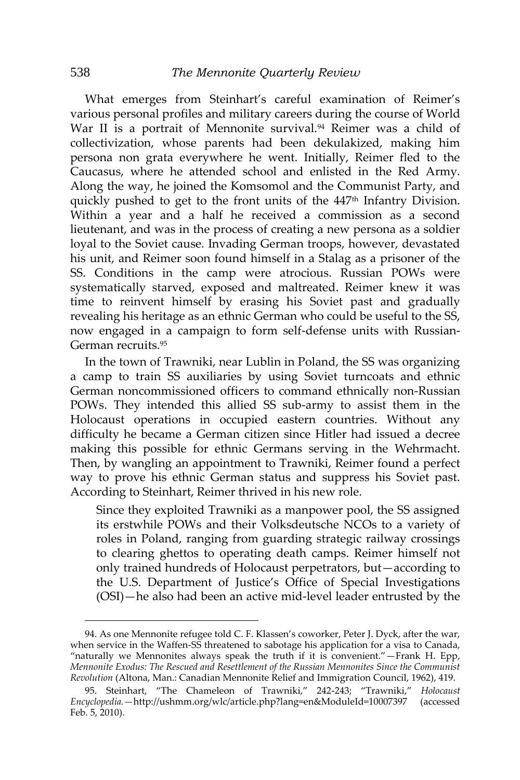What emerges from Steinhart's careful examination of Reimer's various personal profiles and military careers during the course of World War II is a portrait of Mennonite survival.<sup>94</sup> Reimer was a child of collectivization, whose parents had been dekulakized, making him persona non grata everywhere he went. Initially, Reimer fled to the Caucasus, where he attended school and enlisted in the Red Army. Along the way, he joined the Komsomol and the Communist Party, and quickly pushed to get to the front units of the 447<sup>th</sup> Infantry Division. Within a year and a half he received a commission as a second lieutenant, and was in the process of creating a new persona as a soldier loyal to the Soviet cause. Invading German troops, however, devastated his unit, and Reimer soon found himself in a Stalag as a prisoner of the SS. Conditions in the camp were atrocious. Russian POWs were systematically starved, exposed and maltreated. Reimer knew it was time to reinvent himself by erasing his Soviet past and gradually revealing his heritage as an ethnic German who could be useful to the SS, now engaged in a campaign to form self-defense units with Russian-German recruits.<sup>95</sup>

In the town of Trawniki, near Lublin in Poland, the SS was organizing a camp to train SS auxiliaries by using Soviet turncoats and ethnic German noncommissioned officers to command ethnically non-Russian POWs. They intended this allied SS sub-army to assist them in the Holocaust operations in occupied eastern countries. Without any difficulty he became a German citizen since Hitler had issued a decree making this possible for ethnic Germans serving in the Wehrmacht. Then, by wangling an appointment to Trawniki, Reimer found a perfect way to prove his ethnic German status and suppress his Soviet past. According to Steinhart, Reimer thrived in his new role.

Since they exploited Trawniki as a manpower pool, the SS assigned its erstwhile POWs and their Volksdeutsche NCOs to a variety of roles in Poland, ranging from guarding strategic railway crossings to clearing ghettos to operating death camps. Reimer himself not only trained hundreds of Holocaust perpetrators, but—according to the U.S. Department of Justice's Office of Special Investigations (OSI)—he also had been an active mid-level leader entrusted by the

<sup>94</sup>. As one Mennonite refugee told C. F. Klassen's coworker, Peter J. Dyck, after the war, when service in the Waffen-SS threatened to sabotage his application for a visa to Canada, 'naturally we Mennonites always speak the truth if it is convenient.'—Frank H. Epp, *Mennonite Exodus: The Rescued and Resettlement of the Russian Mennonites Since the Communist Revolution* (Altona, Man.: Canadian Mennonite Relief and Immigration Council, 1962), 419.

<sup>95</sup>. Steinhart, 'The Chameleon of Trawniki,' 242-243; 'Trawniki,' *Holocaust Encyclopedia.—*http://ushmm.org/wlc/article.php?lang=en&ModuleId=10007397 (accessed Feb. 5, 2010).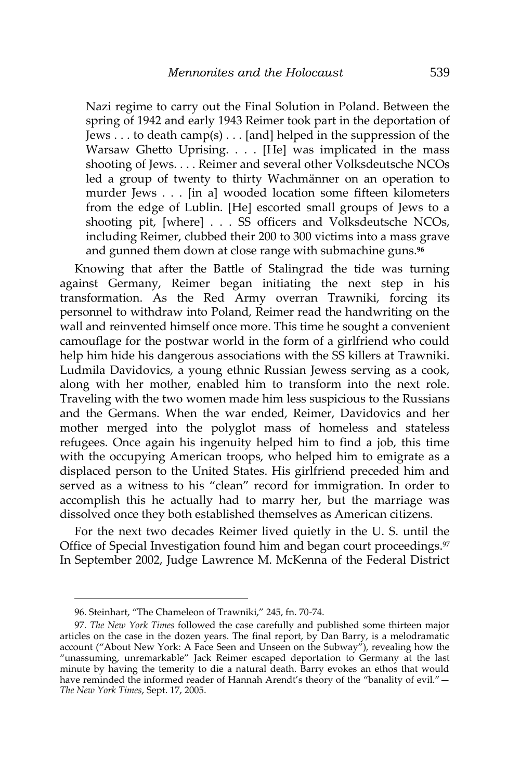Nazi regime to carry out the Final Solution in Poland. Between the spring of 1942 and early 1943 Reimer took part in the deportation of Jews . . . to death camp(s) . . . [and] helped in the suppression of the Warsaw Ghetto Uprising. . . . [He] was implicated in the mass shooting of Jews. . . . Reimer and several other Volksdeutsche NCOs led a group of twenty to thirty Wachmänner on an operation to murder Jews . . . [in a] wooded location some fifteen kilometers from the edge of Lublin. [He] escorted small groups of Jews to a shooting pit, [where] . . . SS officers and Volksdeutsche NCOs, including Reimer, clubbed their 200 to 300 victims into a mass grave and gunned them down at close range with submachine guns.**<sup>96</sup>**

Knowing that after the Battle of Stalingrad the tide was turning against Germany, Reimer began initiating the next step in his transformation. As the Red Army overran Trawniki, forcing its personnel to withdraw into Poland, Reimer read the handwriting on the wall and reinvented himself once more. This time he sought a convenient camouflage for the postwar world in the form of a girlfriend who could help him hide his dangerous associations with the SS killers at Trawniki. Ludmila Davidovics, a young ethnic Russian Jewess serving as a cook, along with her mother, enabled him to transform into the next role. Traveling with the two women made him less suspicious to the Russians and the Germans. When the war ended, Reimer, Davidovics and her mother merged into the polyglot mass of homeless and stateless refugees. Once again his ingenuity helped him to find a job, this time with the occupying American troops, who helped him to emigrate as a displaced person to the United States. His girlfriend preceded him and served as a witness to his 'clean' record for immigration. In order to accomplish this he actually had to marry her, but the marriage was dissolved once they both established themselves as American citizens.

For the next two decades Reimer lived quietly in the U. S. until the Office of Special Investigation found him and began court proceedings. 97 In September 2002, Judge Lawrence M. McKenna of the Federal District

<sup>96.</sup> Steinhart, "The Chameleon of Trawniki," 245, fn. 70-74.

<sup>97.</sup> *The New York Times* followed the case carefully and published some thirteen major articles on the case in the dozen years. The final report, by Dan Barry, is a melodramatic account ('About New York: A Face Seen and Unseen on the Subway'), revealing how the 'unassuming, unremarkable' Jack Reimer escaped deportation to Germany at the last minute by having the temerity to die a natural death. Barry evokes an ethos that would have reminded the informed reader of Hannah Arendt's theory of the "banality of evil." -*The New York Times*, Sept. 17, 2005.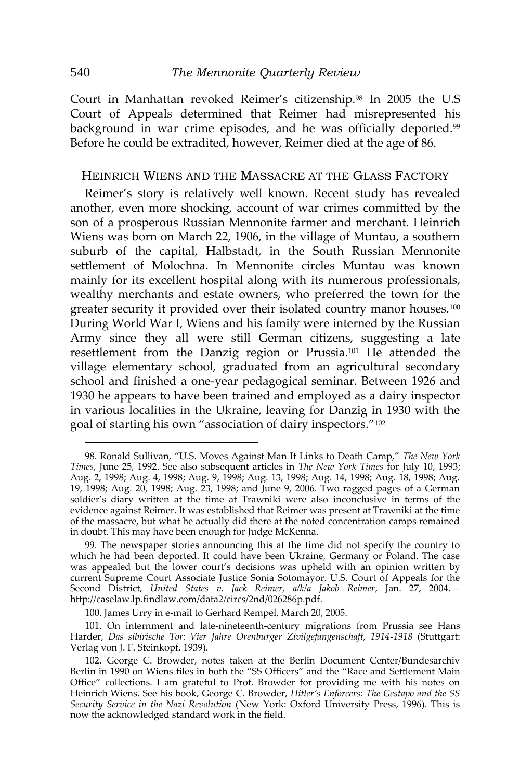Court in Manhattan revoked Reimer's citizenship.<sup>98</sup> In 2005 the U.S Court of Appeals determined that Reimer had misrepresented his background in war crime episodes, and he was officially deported.<sup>99</sup> Before he could be extradited, however, Reimer died at the age of 86.

#### HEINRICH WIENS AND THE MASSACRE AT THE GLASS FACTORY

Reimer's story is relatively well known. Recent study has revealed another, even more shocking, account of war crimes committed by the son of a prosperous Russian Mennonite farmer and merchant. Heinrich Wiens was born on March 22, 1906, in the village of Muntau, a southern suburb of the capital, Halbstadt, in the South Russian Mennonite settlement of Molochna. In Mennonite circles Muntau was known mainly for its excellent hospital along with its numerous professionals, wealthy merchants and estate owners, who preferred the town for the greater security it provided over their isolated country manor houses.<sup>100</sup> During World War I, Wiens and his family were interned by the Russian Army since they all were still German citizens, suggesting a late resettlement from the Danzig region or Prussia.<sup>101</sup> He attended the village elementary school, graduated from an agricultural secondary school and finished a one-year pedagogical seminar. Between 1926 and 1930 he appears to have been trained and employed as a dairy inspector in various localities in the Ukraine, leaving for Danzig in 1930 with the goal of starting his own "association of dairy inspectors."<sup>102</sup>

<sup>98</sup>. Ronald Sullivan, 'U.S. Moves Against Man It Links to Death Camp,' *The New York Times*, June 25, 1992. See also subsequent articles in *The New York Times* for July 10, 1993; Aug. 2, 1998; Aug. 4, 1998; Aug. 9, 1998; Aug. 13, 1998; Aug. 14, 1998; Aug. 18, 1998; Aug. 19, 1998; Aug. 20, 1998; Aug. 23, 1998; and June 9, 2006. Two ragged pages of a German soldier's diary written at the time at Trawniki were also inconclusive in terms of the evidence against Reimer. It was established that Reimer was present at Trawniki at the time of the massacre, but what he actually did there at the noted concentration camps remained in doubt. This may have been enough for Judge McKenna.

<sup>99.</sup> The newspaper stories announcing this at the time did not specify the country to which he had been deported. It could have been Ukraine, Germany or Poland. The case was appealed but the lower court's decisions was upheld with an opinion written by current Supreme Court Associate Justice Sonia Sotomayor. U.S. Court of Appeals for the Second District, *United States v. Jack Reimer, a/k/a Jakob Reimer*, Jan. 27, 2004. http://caselaw.lp.findlaw.com/data2/circs/2nd/026286p.pdf.

<sup>100.</sup> James Urry in e-mail to Gerhard Rempel, March 20, 2005.

<sup>101.</sup> On internment and late-nineteenth-century migrations from Prussia see Hans Harder, *Das sibirische Tor: Vier Jahre Orenburger Zivilgefangenschaft, 1914-1918* (Stuttgart: Verlag von J. F. Steinkopf, 1939).

<sup>102.</sup> George C. Browder, notes taken at the Berlin Document Center/Bundesarchiv Berlin in 1990 on Wiens files in both the 'SS Officers' and the 'Race and Settlement Main Office' collections. I am grateful to Prof. Browder for providing me with his notes on Heinrich Wiens. See his book, George C. Browder, *Hitler's Enforcers: The Gestapo and the SS Security Service in the Nazi Revolution* (New York: Oxford University Press, 1996). This is now the acknowledged standard work in the field.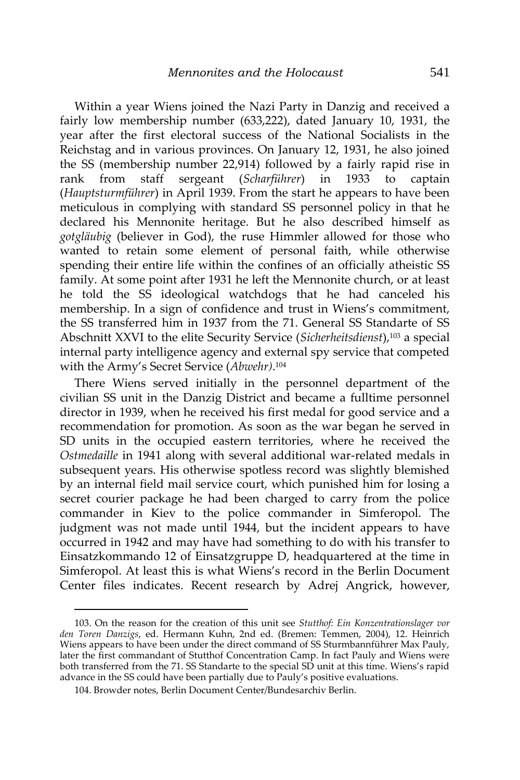Within a year Wiens joined the Nazi Party in Danzig and received a fairly low membership number (633,222), dated January 10, 1931, the year after the first electoral success of the National Socialists in the Reichstag and in various provinces. On January 12, 1931, he also joined the SS (membership number 22,914) followed by a fairly rapid rise in rank from staff sergeant (*Scharführer*) in 1933 to captain (*Hauptsturmführer*) in April 1939. From the start he appears to have been meticulous in complying with standard SS personnel policy in that he declared his Mennonite heritage. But he also described himself as *gotgläubig* (believer in God), the ruse Himmler allowed for those who wanted to retain some element of personal faith, while otherwise spending their entire life within the confines of an officially atheistic SS family. At some point after 1931 he left the Mennonite church, or at least he told the SS ideological watchdogs that he had canceled his membership. In a sign of confidence and trust in Wiens's commitment, the SS transferred him in 1937 from the 71. General SS Standarte of SS Abschnitt XXVI to the elite Security Service (*Sicherheitsdienst*),<sup>103</sup> a special internal party intelligence agency and external spy service that competed with the Army's Secret Service (*Abwehr)*. 104

There Wiens served initially in the personnel department of the civilian SS unit in the Danzig District and became a fulltime personnel director in 1939, when he received his first medal for good service and a recommendation for promotion. As soon as the war began he served in SD units in the occupied eastern territories, where he received the *Ostmedaille* in 1941 along with several additional war-related medals in subsequent years. His otherwise spotless record was slightly blemished by an internal field mail service court, which punished him for losing a secret courier package he had been charged to carry from the police commander in Kiev to the police commander in Simferopol. The judgment was not made until 1944, but the incident appears to have occurred in 1942 and may have had something to do with his transfer to Einsatzkommando 12 of Einsatzgruppe D, headquartered at the time in Simferopol. At least this is what Wiens's record in the Berlin Document Center files indicates. Recent research by Adrej Angrick, however,

<sup>103.</sup> On the reason for the creation of this unit see *Stutthof: Ein Konzentrationslager vor den Toren Danzigs*, ed. Hermann Kuhn, 2nd ed. (Bremen: Temmen, 2004), 12. Heinrich Wiens appears to have been under the direct command of SS Sturmbannführer Max Pauly, later the first commandant of Stutthof Concentration Camp. In fact Pauly and Wiens were both transferred from the 71. SS Standarte to the special SD unit at this time. Wiens's rapid advance in the SS could have been partially due to Pauly's positive evaluations.

<sup>104.</sup> Browder notes, Berlin Document Center/Bundesarchiv Berlin.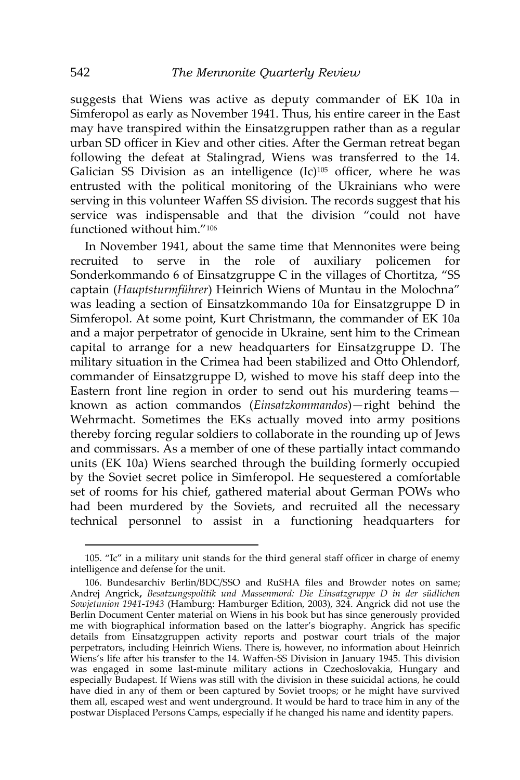suggests that Wiens was active as deputy commander of EK 10a in Simferopol as early as November 1941. Thus, his entire career in the East may have transpired within the Einsatzgruppen rather than as a regular urban SD officer in Kiev and other cities. After the German retreat began following the defeat at Stalingrad, Wiens was transferred to the 14. Galician SS Division as an intelligence (Ic)<sup>105</sup> officer, where he was entrusted with the political monitoring of the Ukrainians who were serving in this volunteer Waffen SS division. The records suggest that his service was indispensable and that the division 'could not have functioned without him."<sup>106</sup>

In November 1941, about the same time that Mennonites were being recruited to serve in the role of auxiliary policemen for Sonderkommando 6 of Einsatzgruppe C in the villages of Chortitza, "SS captain (*Hauptsturmführer*) Heinrich Wiens of Muntau in the Molochna' was leading a section of Einsatzkommando 10a for Einsatzgruppe D in Simferopol. At some point, Kurt Christmann, the commander of EK 10a and a major perpetrator of genocide in Ukraine, sent him to the Crimean capital to arrange for a new headquarters for Einsatzgruppe D. The military situation in the Crimea had been stabilized and Otto Ohlendorf, commander of Einsatzgruppe D, wished to move his staff deep into the Eastern front line region in order to send out his murdering teams known as action commandos (*Einsatzkommandos*)—right behind the Wehrmacht. Sometimes the EKs actually moved into army positions thereby forcing regular soldiers to collaborate in the rounding up of Jews and commissars. As a member of one of these partially intact commando units (EK 10a) Wiens searched through the building formerly occupied by the Soviet secret police in Simferopol. He sequestered a comfortable set of rooms for his chief, gathered material about German POWs who had been murdered by the Soviets, and recruited all the necessary technical personnel to assist in a functioning headquarters for

<sup>105</sup>. 'Ic' in a military unit stands for the third general staff officer in charge of enemy intelligence and defense for the unit.

<sup>106.</sup> Bundesarchiv Berlin/BDC/SSO and RuSHA files and Browder notes on same; Andrej Angrick**,** *Besatzungspolitik und Massenmord: Die Einsatzgruppe D in der südlichen Sowjetunion 1941-1943* (Hamburg: Hamburger Edition, 2003), 324. Angrick did not use the Berlin Document Center material on Wiens in his book but has since generously provided me with biographical information based on the latter's biography. Angrick has specific details from Einsatzgruppen activity reports and postwar court trials of the major perpetrators, including Heinrich Wiens. There is, however, no information about Heinrich Wiens's life after his transfer to the 14. Waffen-SS Division in January 1945. This division was engaged in some last-minute military actions in Czechoslovakia, Hungary and especially Budapest. If Wiens was still with the division in these suicidal actions, he could have died in any of them or been captured by Soviet troops; or he might have survived them all, escaped west and went underground. It would be hard to trace him in any of the postwar Displaced Persons Camps, especially if he changed his name and identity papers.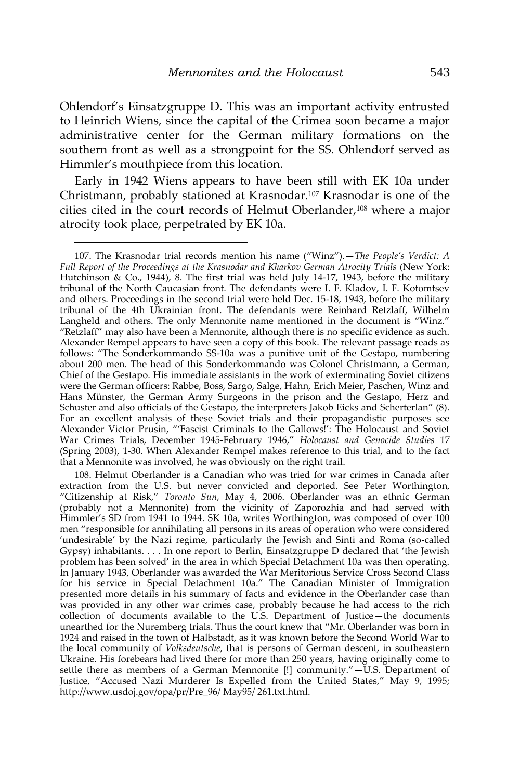Ohlendorf's Einsatzgruppe D. This was an important activity entrusted to Heinrich Wiens, since the capital of the Crimea soon became a major administrative center for the German military formations on the southern front as well as a strongpoint for the SS. Ohlendorf served as Himmler's mouthpiece from this location.

Early in 1942 Wiens appears to have been still with EK 10a under Christmann, probably stationed at Krasnodar.<sup>107</sup> Krasnodar is one of the cities cited in the court records of Helmut Oberlander,<sup>108</sup> where a major atrocity took place, perpetrated by EK 10a.

 $\overline{a}$ 

108. Helmut Oberlander is a Canadian who was tried for war crimes in Canada after extraction from the U.S. but never convicted and deported. See Peter Worthington, 'Citizenship at Risk,' *Toronto Sun*, May 4, 2006. Oberlander was an ethnic German (probably not a Mennonite) from the vicinity of Zaporozhia and had served with Himmler's SD from 1941 to 1944. SK 10a, writes Worthington, was composed of over 100 men 'responsible for annihilating all persons in its areas of operation who were considered 'undesirable' by the Nazi regime, particularly the Jewish and Sinti and Roma (so-called Gypsy) inhabitants. . . . In one report to Berlin, Einsatzgruppe D declared that 'the Jewish problem has been solved' in the area in which Special Detachment 10a was then operating. In January 1943, Oberlander was awarded the War Meritorious Service Cross Second Class for his service in Special Detachment 10a.' The Canadian Minister of Immigration presented more details in his summary of facts and evidence in the Oberlander case than was provided in any other war crimes case, probably because he had access to the rich collection of documents available to the U.S. Department of Justice—the documents unearthed for the Nuremberg trials. Thus the court knew that 'Mr. Oberlander was born in 1924 and raised in the town of Halbstadt, as it was known before the Second World War to the local community of *Volksdeutsche*, that is persons of German descent, in southeastern Ukraine. His forebears had lived there for more than 250 years, having originally come to settle there as members of a German Mennonite  $[!]$  community." $-$ U.S. Department of Justice, 'Accused Nazi Murderer Is Expelled from the United States,' May 9, 1995; http://www.usdoj.gov/opa/pr/Pre\_96/ May95/ 261.txt.html.

<sup>107</sup>. The Krasnodar trial records mention his name ('Winz').—*The People's Verdict: A Full Report of the Proceedings at the Krasnodar and Kharkov German Atrocity Trials* (New York: Hutchinson & Co., 1944), 8. The first trial was held July 14-17, 1943, before the military tribunal of the North Caucasian front. The defendants were I. F. Kladov, I. F. Kotomtsev and others. Proceedings in the second trial were held Dec. 15-18, 1943, before the military tribunal of the 4th Ukrainian front. The defendants were Reinhard Retzlaff, Wilhelm Langheld and others. The only Mennonite name mentioned in the document is 'Winz.' 'Retzlaff' may also have been a Mennonite, although there is no specific evidence as such. Alexander Rempel appears to have seen a copy of this book. The relevant passage reads as follows: 'The Sonderkommando SS-10a was a punitive unit of the Gestapo, numbering about 200 men. The head of this Sonderkommando was Colonel Christmann, a German, Chief of the Gestapo. His immediate assistants in the work of exterminating Soviet citizens were the German officers: Rabbe, Boss, Sargo, Salge, Hahn, Erich Meier, Paschen, Winz and Hans Münster, the German Army Surgeons in the prison and the Gestapo, Herz and Schuster and also officials of the Gestapo, the interpreters Jakob Eicks and Scherterlan' (8). For an excellent analysis of these Soviet trials and their propagandistic purposes see Alexander Victor Prusin, ''Fascist Criminals to the Gallows!': The Holocaust and Soviet War Crimes Trials, December 1945-February 1946,' *Holocaust and Genocide Studies* 17 (Spring 2003), 1-30. When Alexander Rempel makes reference to this trial, and to the fact that a Mennonite was involved, he was obviously on the right trail.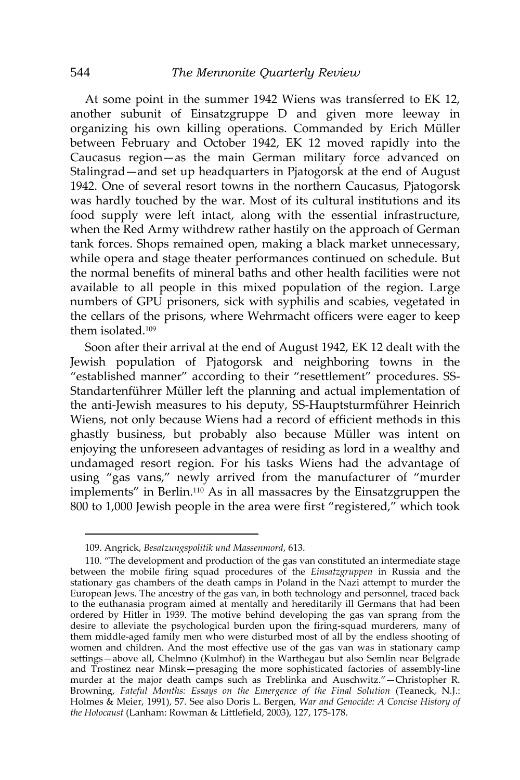At some point in the summer 1942 Wiens was transferred to EK 12, another subunit of Einsatzgruppe D and given more leeway in organizing his own killing operations. Commanded by Erich Müller between February and October 1942, EK 12 moved rapidly into the Caucasus region—as the main German military force advanced on Stalingrad—and set up headquarters in Pjatogorsk at the end of August 1942. One of several resort towns in the northern Caucasus, Pjatogorsk was hardly touched by the war. Most of its cultural institutions and its food supply were left intact, along with the essential infrastructure, when the Red Army withdrew rather hastily on the approach of German tank forces. Shops remained open, making a black market unnecessary, while opera and stage theater performances continued on schedule. But the normal benefits of mineral baths and other health facilities were not available to all people in this mixed population of the region. Large numbers of GPU prisoners, sick with syphilis and scabies, vegetated in the cellars of the prisons, where Wehrmacht officers were eager to keep them isolated.<sup>109</sup>

Soon after their arrival at the end of August 1942, EK 12 dealt with the Jewish population of Pjatogorsk and neighboring towns in the 'established manner' according to their 'resettlement' procedures. SS-Standartenführer Müller left the planning and actual implementation of the anti-Jewish measures to his deputy, SS-Hauptsturmführer Heinrich Wiens, not only because Wiens had a record of efficient methods in this ghastly business, but probably also because Müller was intent on enjoying the unforeseen advantages of residing as lord in a wealthy and undamaged resort region. For his tasks Wiens had the advantage of using 'gas vans,' newly arrived from the manufacturer of 'murder implements' in Berlin.<sup>110</sup> As in all massacres by the Einsatzgruppen the 800 to 1,000 Jewish people in the area were first 'registered,' which took

<sup>109.</sup> Angrick, *Besatzungspolitik und Massenmord*, 613.

<sup>110</sup>. 'The development and production of the gas van constituted an intermediate stage between the mobile firing squad procedures of the *Einsatzgruppen* in Russia and the stationary gas chambers of the death camps in Poland in the Nazi attempt to murder the European Jews. The ancestry of the gas van, in both technology and personnel, traced back to the euthanasia program aimed at mentally and hereditarily ill Germans that had been ordered by Hitler in 1939. The motive behind developing the gas van sprang from the desire to alleviate the psychological burden upon the firing-squad murderers, many of them middle-aged family men who were disturbed most of all by the endless shooting of women and children. And the most effective use of the gas van was in stationary camp settings—above all, Chelmno (Kulmhof) in the Warthegau but also Semlin near Belgrade and Trostinez near Minsk—presaging the more sophisticated factories of assembly-line murder at the major death camps such as Treblinka and Auschwitz.'—Christopher R. Browning, *Fateful Months: Essays on the Emergence of the Final Solution* (Teaneck, N.J.: Holmes & Meier, 1991), 57. See also Doris L. Bergen, *War and Genocide: A Concise History of the Holocaust* (Lanham: Rowman & Littlefield, 2003), 127, 175-178.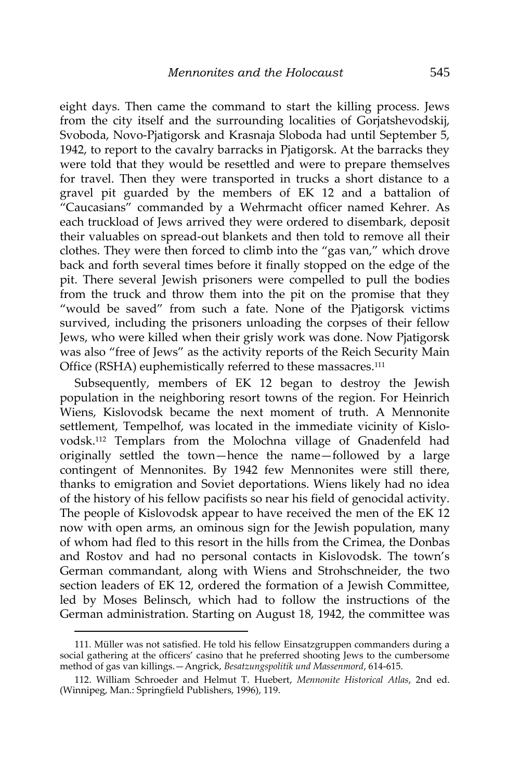eight days. Then came the command to start the killing process. Jews from the city itself and the surrounding localities of Gorjatshevodskij, Svoboda, Novo-Pjatigorsk and Krasnaja Sloboda had until September 5, 1942, to report to the cavalry barracks in Pjatigorsk. At the barracks they were told that they would be resettled and were to prepare themselves for travel. Then they were transported in trucks a short distance to a gravel pit guarded by the members of EK 12 and a battalion of 'Caucasians' commanded by a Wehrmacht officer named Kehrer. As each truckload of Jews arrived they were ordered to disembark, deposit their valuables on spread-out blankets and then told to remove all their clothes. They were then forced to climb into the 'gas van,' which drove back and forth several times before it finally stopped on the edge of the pit. There several Jewish prisoners were compelled to pull the bodies from the truck and throw them into the pit on the promise that they 'would be saved' from such a fate. None of the Pjatigorsk victims survived, including the prisoners unloading the corpses of their fellow Jews, who were killed when their grisly work was done. Now Pjatigorsk was also 'free of Jews' as the activity reports of the Reich Security Main Office (RSHA) euphemistically referred to these massacres.<sup>111</sup>

Subsequently, members of EK 12 began to destroy the Jewish population in the neighboring resort towns of the region. For Heinrich Wiens, Kislovodsk became the next moment of truth. A Mennonite settlement, Tempelhof, was located in the immediate vicinity of Kislovodsk.<sup>112</sup> Templars from the Molochna village of Gnadenfeld had originally settled the town—hence the name—followed by a large contingent of Mennonites. By 1942 few Mennonites were still there, thanks to emigration and Soviet deportations. Wiens likely had no idea of the history of his fellow pacifists so near his field of genocidal activity. The people of Kislovodsk appear to have received the men of the EK 12 now with open arms, an ominous sign for the Jewish population, many of whom had fled to this resort in the hills from the Crimea, the Donbas and Rostov and had no personal contacts in Kislovodsk. The town's German commandant, along with Wiens and Strohschneider, the two section leaders of EK 12, ordered the formation of a Jewish Committee, led by Moses Belinsch, which had to follow the instructions of the German administration. Starting on August 18, 1942, the committee was

<sup>111</sup>*.* Müller was not satisfied. He told his fellow Einsatzgruppen commanders during a social gathering at the officers' casino that he preferred shooting Jews to the cumbersome method of gas van killings.—Angrick, *Besatzungspolitik und Massenmord*, 614-615.

<sup>112.</sup> William Schroeder and Helmut T. Huebert, *Mennonite Historical Atlas*, 2nd ed. (Winnipeg, Man.: Springfield Publishers, 1996), 119.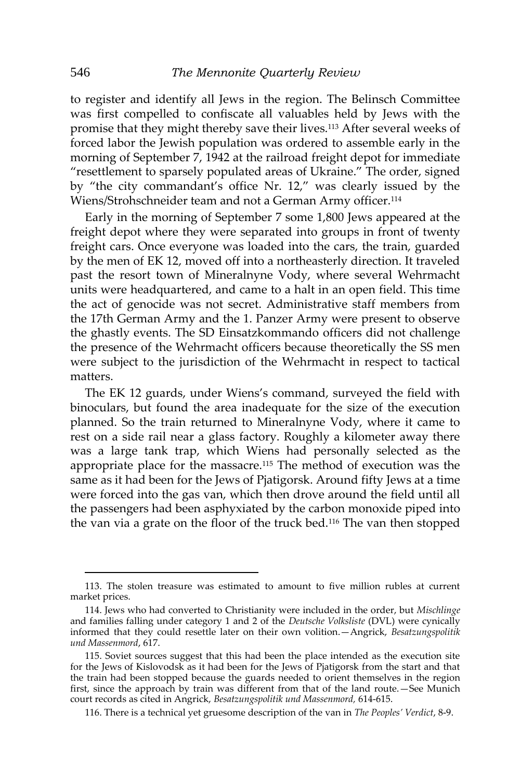to register and identify all Jews in the region. The Belinsch Committee was first compelled to confiscate all valuables held by Jews with the promise that they might thereby save their lives.<sup>113</sup> After several weeks of forced labor the Jewish population was ordered to assemble early in the morning of September 7, 1942 at the railroad freight depot for immediate 'resettlement to sparsely populated areas of Ukraine.' The order, signed by 'the city commandant's office Nr. 12,' was clearly issued by the Wiens/Strohschneider team and not a German Army officer.<sup>114</sup>

Early in the morning of September 7 some 1,800 Jews appeared at the freight depot where they were separated into groups in front of twenty freight cars. Once everyone was loaded into the cars, the train, guarded by the men of EK 12, moved off into a northeasterly direction. It traveled past the resort town of Mineralnyne Vody, where several Wehrmacht units were headquartered, and came to a halt in an open field. This time the act of genocide was not secret. Administrative staff members from the 17th German Army and the 1. Panzer Army were present to observe the ghastly events. The SD Einsatzkommando officers did not challenge the presence of the Wehrmacht officers because theoretically the SS men were subject to the jurisdiction of the Wehrmacht in respect to tactical matters.

The EK 12 guards, under Wiens's command, surveyed the field with binoculars, but found the area inadequate for the size of the execution planned. So the train returned to Mineralnyne Vody, where it came to rest on a side rail near a glass factory. Roughly a kilometer away there was a large tank trap, which Wiens had personally selected as the appropriate place for the massacre.<sup>115</sup> The method of execution was the same as it had been for the Jews of Pjatigorsk. Around fifty Jews at a time were forced into the gas van, which then drove around the field until all the passengers had been asphyxiated by the carbon monoxide piped into the van via a grate on the floor of the truck bed.<sup>116</sup> The van then stopped

<sup>113.</sup> The stolen treasure was estimated to amount to five million rubles at current market prices.

<sup>114.</sup> Jews who had converted to Christianity were included in the order, but *Mischlinge* and families falling under category 1 and 2 of the *Deutsche Volksliste* (DVL) were cynically informed that they could resettle later on their own volition.—Angrick, *Besatzungspolitik und Massenmord*, 617.

<sup>115.</sup> Soviet sources suggest that this had been the place intended as the execution site for the Jews of Kislovodsk as it had been for the Jews of Pjatigorsk from the start and that the train had been stopped because the guards needed to orient themselves in the region first, since the approach by train was different from that of the land route.—See Munich court records as cited in Angrick, *Besatzungspolitik und Massenmord,* 614-615.

<sup>116.</sup> There is a technical yet gruesome description of the van in *The Peoples' Verdict*, 8-9.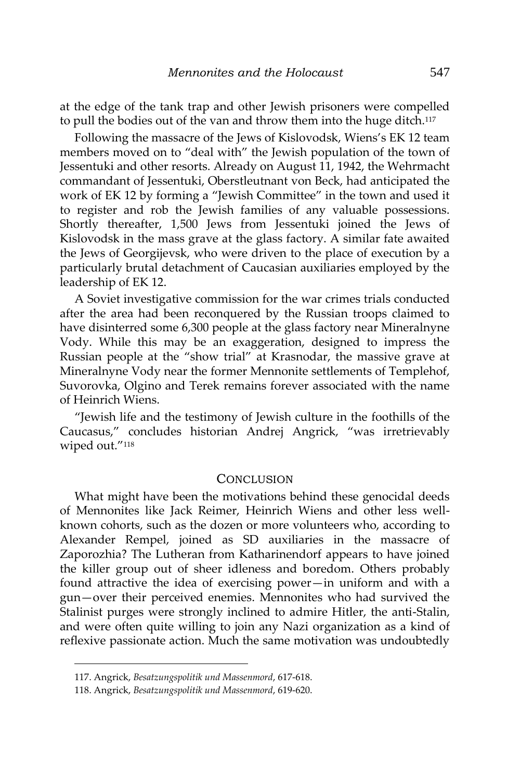at the edge of the tank trap and other Jewish prisoners were compelled to pull the bodies out of the van and throw them into the huge ditch.<sup>117</sup>

Following the massacre of the Jews of Kislovodsk, Wiens's EK 12 team members moved on to 'deal with' the Jewish population of the town of Jessentuki and other resorts. Already on August 11, 1942, the Wehrmacht commandant of Jessentuki, Oberstleutnant von Beck, had anticipated the work of EK 12 by forming a 'Jewish Committee' in the town and used it to register and rob the Jewish families of any valuable possessions. Shortly thereafter, 1,500 Jews from Jessentuki joined the Jews of Kislovodsk in the mass grave at the glass factory. A similar fate awaited the Jews of Georgijevsk, who were driven to the place of execution by a particularly brutal detachment of Caucasian auxiliaries employed by the leadership of EK 12.

A Soviet investigative commission for the war crimes trials conducted after the area had been reconquered by the Russian troops claimed to have disinterred some 6,300 people at the glass factory near Mineralnyne Vody. While this may be an exaggeration, designed to impress the Russian people at the 'show trial' at Krasnodar, the massive grave at Mineralnyne Vody near the former Mennonite settlements of Templehof, Suvorovka, Olgino and Terek remains forever associated with the name of Heinrich Wiens.

'Jewish life and the testimony of Jewish culture in the foothills of the Caucasus,' concludes historian Andrej Angrick, 'was irretrievably wiped out."<sup>118</sup>

#### **CONCLUSION**

What might have been the motivations behind these genocidal deeds of Mennonites like Jack Reimer, Heinrich Wiens and other less wellknown cohorts, such as the dozen or more volunteers who, according to Alexander Rempel, joined as SD auxiliaries in the massacre of Zaporozhia? The Lutheran from Katharinendorf appears to have joined the killer group out of sheer idleness and boredom. Others probably found attractive the idea of exercising power—in uniform and with a gun—over their perceived enemies. Mennonites who had survived the Stalinist purges were strongly inclined to admire Hitler, the anti-Stalin, and were often quite willing to join any Nazi organization as a kind of reflexive passionate action. Much the same motivation was undoubtedly

<sup>117.</sup> Angrick, *Besatzungspolitik und Massenmord*, 617-618.

<sup>118.</sup> Angrick, *Besatzungspolitik und Massenmord*, 619-620.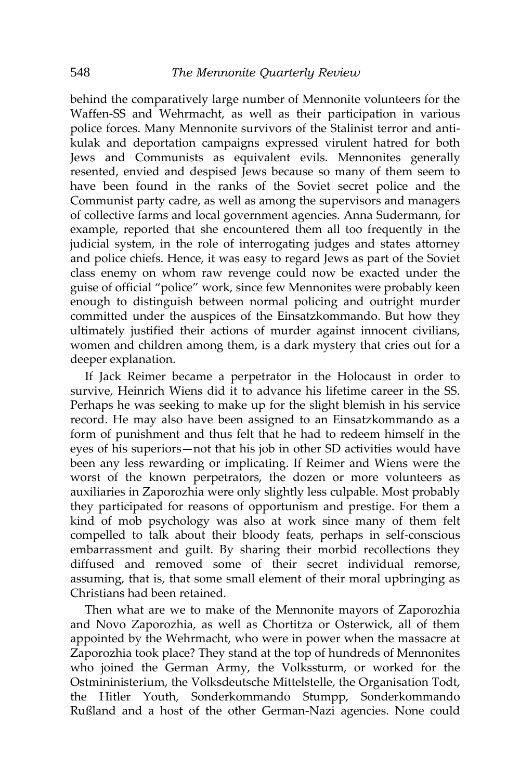behind the comparatively large number of Mennonite volunteers for the Waffen-SS and Wehrmacht, as well as their participation in various police forces. Many Mennonite survivors of the Stalinist terror and antikulak and deportation campaigns expressed virulent hatred for both Jews and Communists as equivalent evils. Mennonites generally resented, envied and despised Jews because so many of them seem to have been found in the ranks of the Soviet secret police and the Communist party cadre, as well as among the supervisors and managers of collective farms and local government agencies. Anna Sudermann, for example, reported that she encountered them all too frequently in the judicial system, in the role of interrogating judges and states attorney and police chiefs. Hence, it was easy to regard Jews as part of the Soviet class enemy on whom raw revenge could now be exacted under the guise of official 'police' work, since few Mennonites were probably keen enough to distinguish between normal policing and outright murder committed under the auspices of the Einsatzkommando. But how they ultimately justified their actions of murder against innocent civilians, women and children among them, is a dark mystery that cries out for a deeper explanation.

If Jack Reimer became a perpetrator in the Holocaust in order to survive, Heinrich Wiens did it to advance his lifetime career in the SS. Perhaps he was seeking to make up for the slight blemish in his service record. He may also have been assigned to an Einsatzkommando as a form of punishment and thus felt that he had to redeem himself in the eyes of his superiors—not that his job in other SD activities would have been any less rewarding or implicating. If Reimer and Wiens were the worst of the known perpetrators, the dozen or more volunteers as auxiliaries in Zaporozhia were only slightly less culpable. Most probably they participated for reasons of opportunism and prestige. For them a kind of mob psychology was also at work since many of them felt compelled to talk about their bloody feats, perhaps in self-conscious embarrassment and guilt. By sharing their morbid recollections they diffused and removed some of their secret individual remorse, assuming, that is, that some small element of their moral upbringing as Christians had been retained.

Then what are we to make of the Mennonite mayors of Zaporozhia and Novo Zaporozhia, as well as Chortitza or Osterwick, all of them appointed by the Wehrmacht, who were in power when the massacre at Zaporozhia took place? They stand at the top of hundreds of Mennonites who joined the German Army, the Volkssturm, or worked for the Ostmininisterium, the Volksdeutsche Mittelstelle, the Organisation Todt, the Hitler Youth, Sonderkommando Stumpp, Sonderkommando Rußland and a host of the other German-Nazi agencies. None could